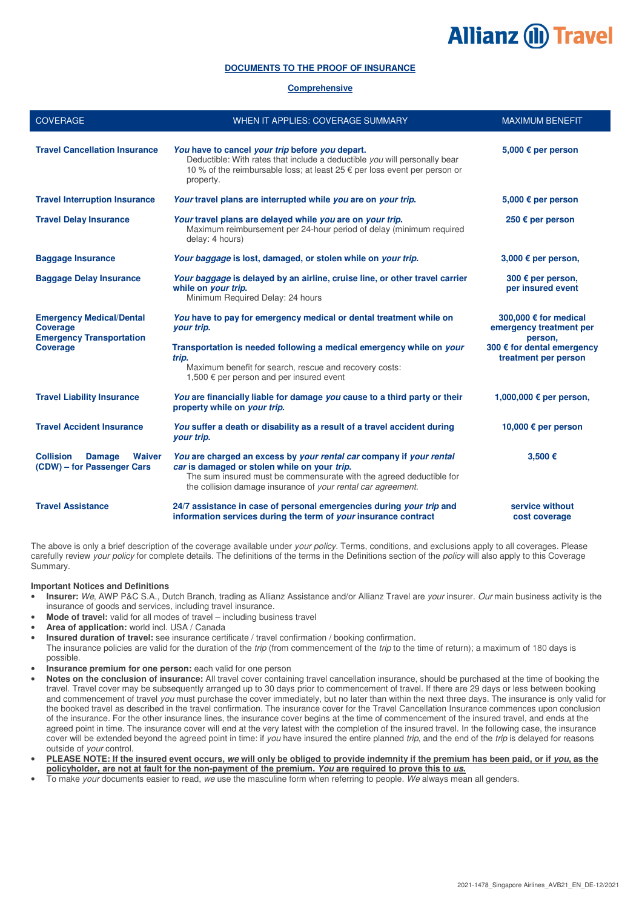# **Allianz (II) Travel**

# **DOCUMENTS TO THE PROOF OF INSURANCE**

# **Comprehensive**

| <b>COVERAGE</b>                                                                       | WHEN IT APPLIES: COVERAGE SUMMARY                                                                                                                                                                                                                          | <b>MAXIMUM BENEFIT</b>                                      |
|---------------------------------------------------------------------------------------|------------------------------------------------------------------------------------------------------------------------------------------------------------------------------------------------------------------------------------------------------------|-------------------------------------------------------------|
| <b>Travel Cancellation Insurance</b>                                                  | You have to cancel your trip before you depart.<br>Deductible: With rates that include a deductible you will personally bear<br>10 % of the reimbursable loss; at least 25 € per loss event per person or<br>property.                                     | 5,000 € per person                                          |
| <b>Travel Interruption Insurance</b>                                                  | Your travel plans are interrupted while you are on your trip.                                                                                                                                                                                              | 5,000 € per person                                          |
| <b>Travel Delay Insurance</b>                                                         | Your travel plans are delayed while you are on your trip.<br>Maximum reimbursement per 24-hour period of delay (minimum required<br>delay: 4 hours)                                                                                                        | 250 € per person                                            |
| <b>Baggage Insurance</b>                                                              | Your baggage is lost, damaged, or stolen while on your trip.                                                                                                                                                                                               | 3,000 $\epsilon$ per person,                                |
| <b>Baggage Delay Insurance</b>                                                        | Your baggage is delayed by an airline, cruise line, or other travel carrier<br>while on your trip.<br>Minimum Required Delay: 24 hours                                                                                                                     | 300 € per person,<br>per insured event                      |
| <b>Emergency Medical/Dental</b><br><b>Coverage</b><br><b>Emergency Transportation</b> | You have to pay for emergency medical or dental treatment while on<br>your trip.                                                                                                                                                                           | 300,000 € for medical<br>emergency treatment per<br>person, |
| <b>Coverage</b>                                                                       | Transportation is needed following a medical emergency while on your<br>trip.<br>Maximum benefit for search, rescue and recovery costs:<br>1,500 $\epsilon$ per person and per insured event                                                               | 300 € for dental emergency<br>treatment per person          |
| <b>Travel Liability Insurance</b>                                                     | You are financially liable for damage you cause to a third party or their<br>property while on your trip.                                                                                                                                                  | 1,000,000 € per person,                                     |
| <b>Travel Accident Insurance</b>                                                      | You suffer a death or disability as a result of a travel accident during<br>your trip.                                                                                                                                                                     | 10,000 € per person                                         |
| <b>Collision</b><br><b>Damage</b><br><b>Waiver</b><br>(CDW) – for Passenger Cars      | You are charged an excess by your rental car company if your rental<br>car is damaged or stolen while on your trip.<br>The sum insured must be commensurate with the agreed deductible for<br>the collision damage insurance of your rental car agreement. | 3,500 €                                                     |
| <b>Travel Assistance</b>                                                              | 24/7 assistance in case of personal emergencies during your trip and<br>information services during the term of your insurance contract                                                                                                                    | service without<br>cost coverage                            |

The above is only a brief description of the coverage available under your policy. Terms, conditions, and exclusions apply to all coverages. Please carefully review your policy for complete details. The definitions of the terms in the Definitions section of the policy will also apply to this Coverage Summary.

# **Important Notices and Definitions**

- **Insurer:** We, AWP P&C S.A., Dutch Branch, trading as Allianz Assistance and/or Allianz Travel are your insurer. Our main business activity is the insurance of goods and services, including travel insurance.
- **Mode of travel:** valid for all modes of travel including business travel
- **Area of application:** world incl. USA / Canada
- **Insured duration of travel:** see insurance certificate / travel confirmation / booking confirmation.
- The insurance policies are valid for the duration of the trip (from commencement of the trip to the time of return); a maximum of 180 days is possible.
- **Insurance premium for one person:** each valid for one person
- **Notes on the conclusion of insurance:** All travel cover containing travel cancellation insurance, should be purchased at the time of booking the travel. Travel cover may be subsequently arranged up to 30 days prior to commencement of travel. If there are 29 days or less between booking and commencement of travel you must purchase the cover immediately, but no later than within the next three days. The insurance is only valid for the booked travel as described in the travel confirmation. The insurance cover for the Travel Cancellation Insurance commences upon conclusion of the insurance. For the other insurance lines, the insurance cover begins at the time of commencement of the insured travel, and ends at the agreed point in time. The insurance cover will end at the very latest with the completion of the insured travel. In the following case, the insurance cover will be extended beyond the agreed point in time: if you have insured the entire planned trip, and the end of the trip is delayed for reasons outside of your control.
- **PLEASE NOTE: If the insured event occurs, we will only be obliged to provide indemnity if the premium has been paid, or if you, as the policyholder, are not at fault for the non-payment of the premium. You are required to prove this to us.**
- To make your documents easier to read, we use the masculine form when referring to people. We always mean all genders.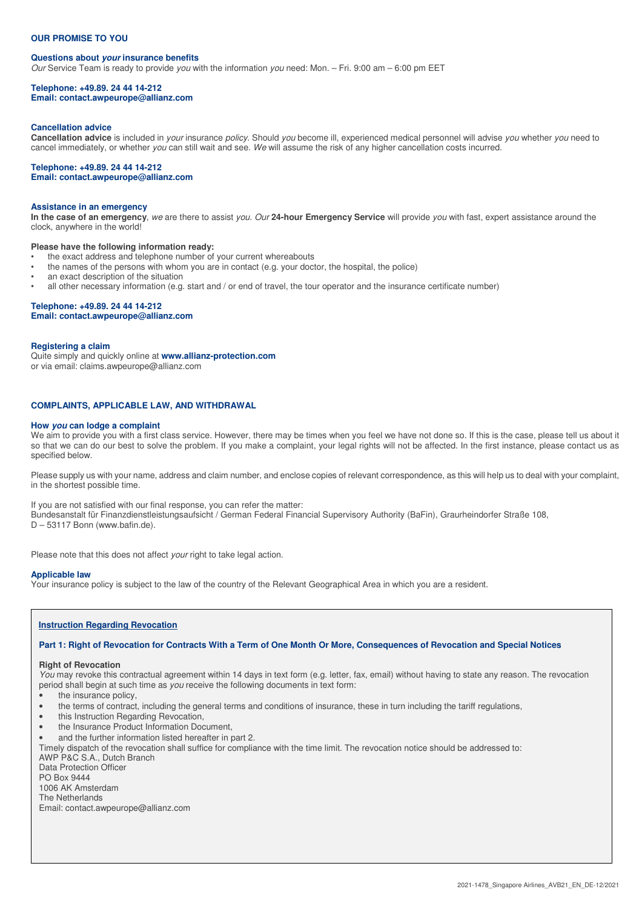## **OUR PROMISE TO YOU**

#### **Questions about your insurance benefits**

Our Service Team is ready to provide you with the information you need: Mon. – Fri. 9:00 am – 6:00 pm EET

#### **Telephone: +49.89. 24 44 14-212 Email: contact.awpeurope@allianz.com**

#### **Cancellation advice**

Cancellation advice is included in your insurance policy. Should you become ill, experienced medical personnel will advise you whether you need to cancel immediately, or whether you can still wait and see. We will assume the risk of any higher cancellation costs incurred.

#### **Telephone: +49.89. 24 44 14-212 Email: contact.awpeurope@allianz.com**

#### **Assistance in an emergency**

**In the case of an emergency**, we are there to assist you. Our **24-hour Emergency Service** will provide you with fast, expert assistance around the clock, anywhere in the world!

#### **Please have the following information ready:**

- the exact address and telephone number of your current whereabouts
- the names of the persons with whom you are in contact (e.g. your doctor, the hospital, the police)
- an exact description of the situation
- all other necessary information (e.g. start and / or end of travel, the tour operator and the insurance certificate number)

# **Telephone: +49.89. 24 44 14-212**

**Email: contact.awpeurope@allianz.com** 

#### **Registering a claim**

Quite simply and quickly online at **www.allianz-protection.com** or via email: claims.awpeurope@allianz.com

#### **COMPLAINTS, APPLICABLE LAW, AND WITHDRAWAL**

#### **How you can lodge a complaint**

We aim to provide you with a first class service. However, there may be times when you feel we have not done so. If this is the case, please tell us about it so that we can do our best to solve the problem. If you make a complaint, your legal rights will not be affected. In the first instance, please contact us as specified below.

Please supply us with your name, address and claim number, and enclose copies of relevant correspondence, as this will help us to deal with your complaint, in the shortest possible time.

If you are not satisfied with our final response, you can refer the matter: Bundesanstalt für Finanzdienstleistungsaufsicht / German Federal Financial Supervisory Authority (BaFin), Graurheindorfer Straße 108, D – 53117 Bonn (www.bafin.de).

Please note that this does not affect your right to take legal action.

#### **Applicable law**

Your insurance policy is subject to the law of the country of the Relevant Geographical Area in which you are a resident.

# **Instruction Regarding Revocation**

**Part 1: Right of Revocation for Contracts With a Term of One Month Or More, Consequences of Revocation and Special Notices** 

#### **Right of Revocation**

You may revoke this contractual agreement within 14 days in text form (e.g. letter, fax, email) without having to state any reason. The revocation period shall begin at such time as you receive the following documents in text form:

- the insurance policy,
- the terms of contract, including the general terms and conditions of insurance, these in turn including the tariff regulations,
- this Instruction Regarding Revocation,
- the Insurance Product Information Document,
- and the further information listed hereafter in part 2.

Timely dispatch of the revocation shall suffice for compliance with the time limit. The revocation notice should be addressed to:

AWP P&C S.A., Dutch Branch Data Protection Officer

PO Box 9444

1006 AK Amsterdam

The Netherlands

Email: contact.awpeurope@allianz.com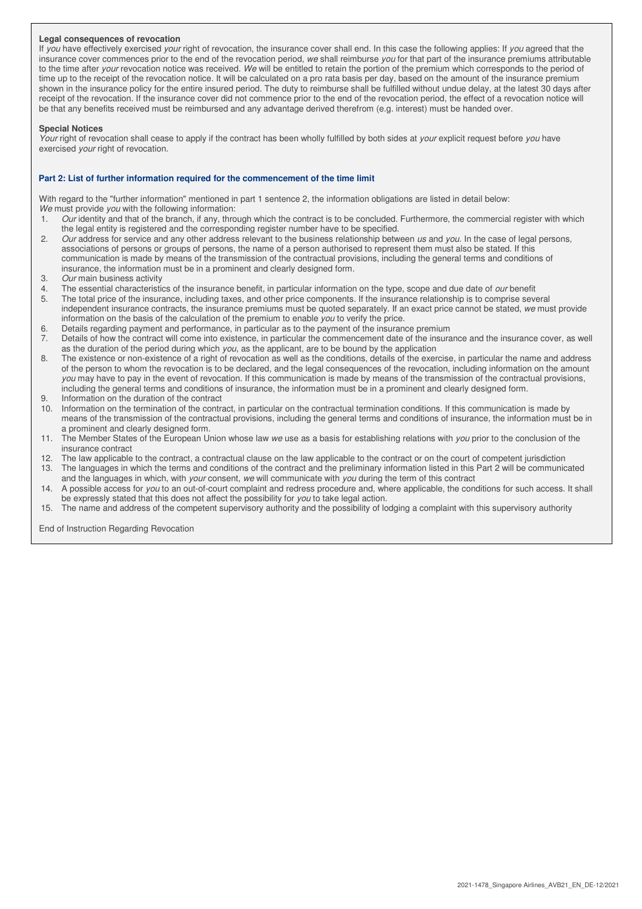## **Legal consequences of revocation**

If you have effectively exercised your right of revocation, the insurance cover shall end. In this case the following applies: If you agreed that the insurance cover commences prior to the end of the revocation period, we shall reimburse you for that part of the insurance premiums attributable to the time after your revocation notice was received. We will be entitled to retain the portion of the premium which corresponds to the period of time up to the receipt of the revocation notice. It will be calculated on a pro rata basis per day, based on the amount of the insurance premium shown in the insurance policy for the entire insured period. The duty to reimburse shall be fulfilled without undue delay, at the latest 30 days after receipt of the revocation. If the insurance cover did not commence prior to the end of the revocation period, the effect of a revocation notice will be that any benefits received must be reimbursed and any advantage derived therefrom (e.g. interest) must be handed over.

#### **Special Notices**

Your right of revocation shall cease to apply if the contract has been wholly fulfilled by both sides at your explicit request before you have exercised your right of revocation.

## **Part 2: List of further information required for the commencement of the time limit**

With regard to the "further information" mentioned in part 1 sentence 2, the information obligations are listed in detail below: We must provide you with the following information:

- 1. Our identity and that of the branch, if any, through which the contract is to be concluded. Furthermore, the commercial register with which the legal entity is registered and the corresponding register number have to be specified.
- 2. Our address for service and any other address relevant to the business relationship between us and you. In the case of legal persons, associations of persons or groups of persons, the name of a person authorised to represent them must also be stated. If this communication is made by means of the transmission of the contractual provisions, including the general terms and conditions of insurance, the information must be in a prominent and clearly designed form.
- 3. Our main business activity<br> $\frac{1}{4}$  The essential characteristic
- The essential characteristics of the insurance benefit, in particular information on the type, scope and due date of *our* benefit
- 5. The total price of the insurance, including taxes, and other price components. If the insurance relationship is to comprise several independent insurance contracts, the insurance premiums must be quoted separately. If an exact price cannot be stated, we must provide information on the basis of the calculation of the premium to enable you to verify the price.
- 6. Details regarding payment and performance, in particular as to the payment of the insurance premium<br>7. Details of how the contract will come into existence, in particular the commencement date of the insura
- Details of how the contract will come into existence, in particular the commencement date of the insurance and the insurance cover, as well as the duration of the period during which you, as the applicant, are to be bound by the application
- 8. The existence or non-existence of a right of revocation as well as the conditions, details of the exercise, in particular the name and address of the person to whom the revocation is to be declared, and the legal consequences of the revocation, including information on the amount you may have to pay in the event of revocation. If this communication is made by means of the transmission of the contractual provisions, including the general terms and conditions of insurance, the information must be in a prominent and clearly designed form.
- 9. Information on the duration of the contract
- 10. Information on the termination of the contract, in particular on the contractual termination conditions. If this communication is made by means of the transmission of the contractual provisions, including the general terms and conditions of insurance, the information must be in a prominent and clearly designed form.
- 11. The Member States of the European Union whose law we use as a basis for establishing relations with you prior to the conclusion of the insurance contract
- 12. The law applicable to the contract, a contractual clause on the law applicable to the contract or on the court of competent jurisdiction 13. The languages in which the terms and conditions of the contract and the preliminary information listed in this Part 2 will be communicated
- and the languages in which, with your consent, we will communicate with you during the term of this contract 14. A possible access for you to an out-of-court complaint and redress procedure and, where applicable, the conditions for such access. It shall
- be expressly stated that this does not affect the possibility for you to take legal action.
- 15. The name and address of the competent supervisory authority and the possibility of lodging a complaint with this supervisory authority

End of Instruction Regarding Revocation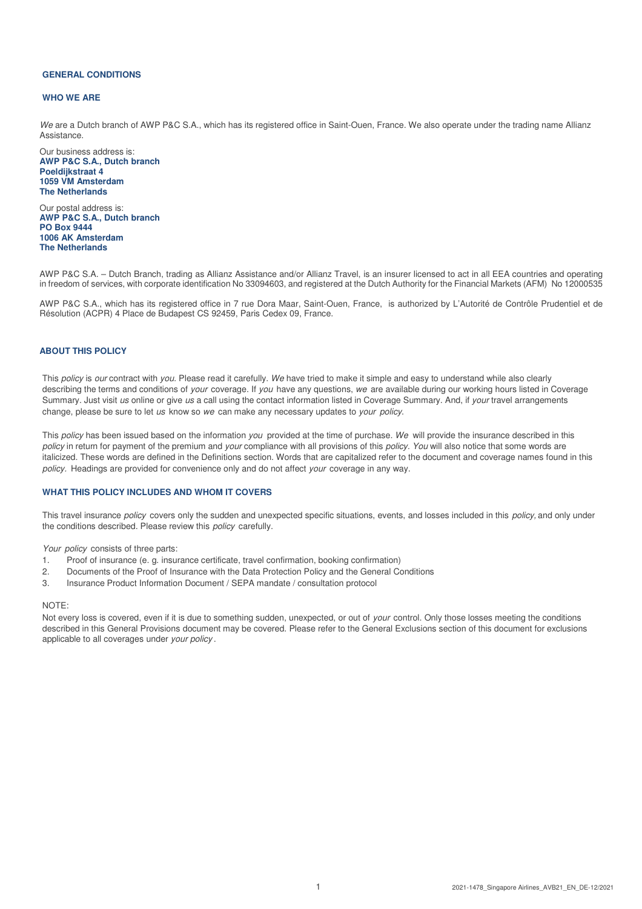#### **GENERAL CONDITIONS**

#### **WHO WE ARE**

We are a Dutch branch of AWP P&C S.A., which has its registered office in Saint-Ouen, France. We also operate under the trading name Allianz Assistance.

Our business address is: **AWP P&C S.A., Dutch branch Poeldijkstraat 4 1059 VM Amsterdam The Netherlands** 

Our postal address is: **AWP P&C S.A., Dutch branch PO Box 9444 1006 AK Amsterdam The Netherlands** 

AWP P&C S.A. – Dutch Branch, trading as Allianz Assistance and/or Allianz Travel, is an insurer licensed to act in all EEA countries and operating in freedom of services, with corporate identification No 33094603, and registered at the Dutch Authority for the Financial Markets (AFM) No 12000535

AWP P&C S.A., which has its registered office in 7 rue Dora Maar, Saint-Ouen, France, is authorized by L'Autorité de Contrôle Prudentiel et de Résolution (ACPR) 4 Place de Budapest CS 92459, Paris Cedex 09, France.

# **ABOUT THIS POLICY**

This policy is our contract with you. Please read it carefully. We have tried to make it simple and easy to understand while also clearly describing the terms and conditions of your coverage. If you have any questions, we are available during our working hours listed in Coverage Summary. Just visit us online or give us a call using the contact information listed in Coverage Summary. And, if your travel arrangements change, please be sure to let us know so we can make any necessary updates to your policy.

This policy has been issued based on the information you provided at the time of purchase. We will provide the insurance described in this policy in return for payment of the premium and your compliance with all provisions of this *policy. You* will also notice that some words are italicized. These words are defined in the Definitions section. Words that are capitalized refer to the document and coverage names found in this policy. Headings are provided for convenience only and do not affect your coverage in any way.

# **WHAT THIS POLICY INCLUDES AND WHOM IT COVERS**

This travel insurance *policy* covers only the sudden and unexpected specific situations, events, and losses included in this *policy*, and only under the conditions described. Please review this *policy* carefully.

Your policy consists of three parts:

- 1. Proof of insurance (e. g. insurance certificate, travel confirmation, booking confirmation)
- 2. Documents of the Proof of Insurance with the Data Protection Policy and the General Conditions
- 3. Insurance Product Information Document / SEPA mandate / consultation protocol

#### NOTE:

Not every loss is covered, even if it is due to something sudden, unexpected, or out of your control. Only those losses meeting the conditions described in this General Provisions document may be covered. Please refer to the General Exclusions section of this document for exclusions applicable to all coverages under your policy .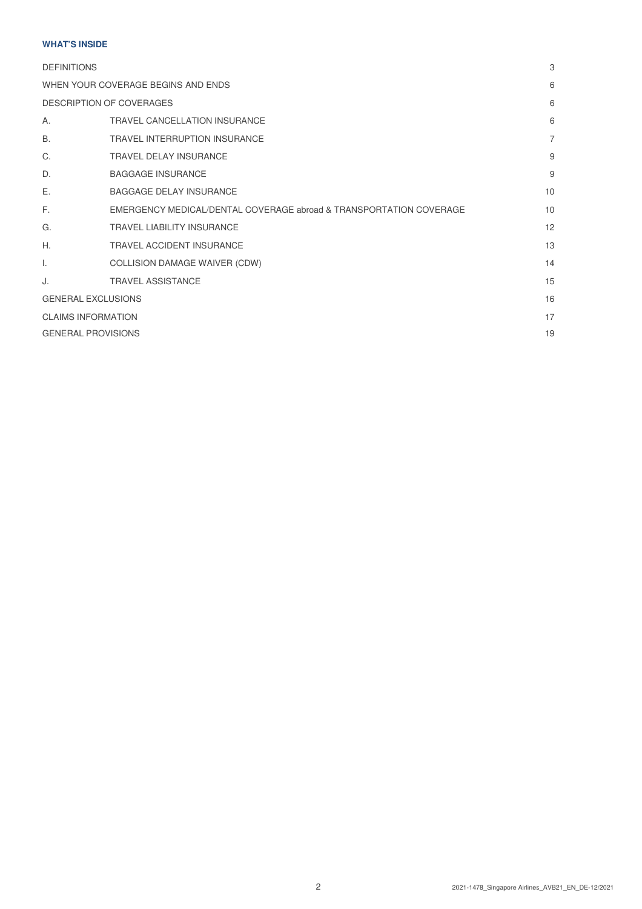# **WHAT'S INSIDE**

| <b>DEFINITIONS</b>        |                                                                    | 3              |
|---------------------------|--------------------------------------------------------------------|----------------|
|                           | WHEN YOUR COVERAGE BEGINS AND ENDS                                 | 6              |
|                           | <b>DESCRIPTION OF COVERAGES</b>                                    | 6              |
| Α.                        | <b>TRAVEL CANCELLATION INSURANCE</b>                               | 6              |
| Β.                        | <b>TRAVEL INTERRUPTION INSURANCE</b>                               | $\overline{7}$ |
| C.                        | <b>TRAVEL DELAY INSURANCE</b>                                      | 9              |
| D.                        | <b>BAGGAGE INSURANCE</b>                                           | 9              |
| Ε.                        | <b>BAGGAGE DELAY INSURANCE</b>                                     | 10             |
| F.                        | EMERGENCY MEDICAL/DENTAL COVERAGE abroad & TRANSPORTATION COVERAGE | 10             |
| G.                        | <b>TRAVEL LIABILITY INSURANCE</b>                                  | 12             |
| Η.                        | <b>TRAVEL ACCIDENT INSURANCE</b>                                   | 13             |
| I.                        | COLLISION DAMAGE WAIVER (CDW)                                      | 14             |
| J.                        | <b>TRAVEL ASSISTANCE</b>                                           | 15             |
|                           | <b>GENERAL EXCLUSIONS</b>                                          | 16             |
| <b>CLAIMS INFORMATION</b> |                                                                    | 17             |
| <b>GENERAL PROVISIONS</b> |                                                                    | 19             |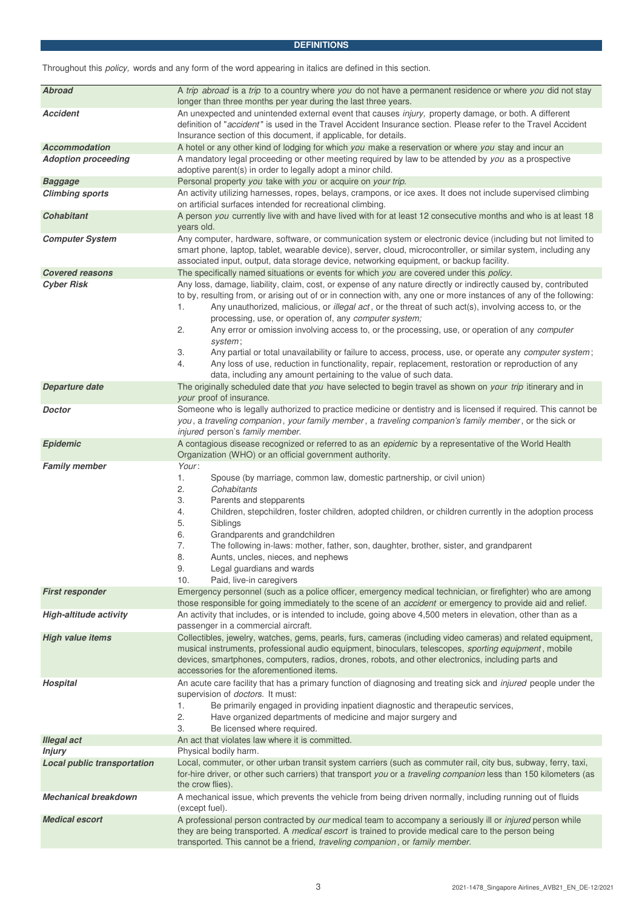# **DEFINITIONS**

Throughout this policy, words and any form of the word appearing in italics are defined in this section.

| <b>Abroad</b>                                       | A trip abroad is a trip to a country where you do not have a permanent residence or where you did not stay                                                                                                                                                                                                                                                                                                                                                                                                                                                                                                                                                                                                                                                                                                                              |  |  |
|-----------------------------------------------------|-----------------------------------------------------------------------------------------------------------------------------------------------------------------------------------------------------------------------------------------------------------------------------------------------------------------------------------------------------------------------------------------------------------------------------------------------------------------------------------------------------------------------------------------------------------------------------------------------------------------------------------------------------------------------------------------------------------------------------------------------------------------------------------------------------------------------------------------|--|--|
|                                                     | longer than three months per year during the last three years.                                                                                                                                                                                                                                                                                                                                                                                                                                                                                                                                                                                                                                                                                                                                                                          |  |  |
| <b>Accident</b>                                     | An unexpected and unintended external event that causes injury, property damage, or both. A different<br>definition of "accident" is used in the Travel Accident Insurance section. Please refer to the Travel Accident                                                                                                                                                                                                                                                                                                                                                                                                                                                                                                                                                                                                                 |  |  |
|                                                     | Insurance section of this document, if applicable, for details.                                                                                                                                                                                                                                                                                                                                                                                                                                                                                                                                                                                                                                                                                                                                                                         |  |  |
| <b>Accommodation</b><br><b>Adoption proceeding</b>  | A hotel or any other kind of lodging for which you make a reservation or where you stay and incur an<br>A mandatory legal proceeding or other meeting required by law to be attended by you as a prospective                                                                                                                                                                                                                                                                                                                                                                                                                                                                                                                                                                                                                            |  |  |
|                                                     | adoptive parent(s) in order to legally adopt a minor child.                                                                                                                                                                                                                                                                                                                                                                                                                                                                                                                                                                                                                                                                                                                                                                             |  |  |
| <b>Baggage</b><br><b>Climbing sports</b>            | Personal property you take with you or acquire on your trip.<br>An activity utilizing harnesses, ropes, belays, crampons, or ice axes. It does not include supervised climbing                                                                                                                                                                                                                                                                                                                                                                                                                                                                                                                                                                                                                                                          |  |  |
|                                                     | on artificial surfaces intended for recreational climbing.                                                                                                                                                                                                                                                                                                                                                                                                                                                                                                                                                                                                                                                                                                                                                                              |  |  |
| <b>Cohabitant</b>                                   | A person you currently live with and have lived with for at least 12 consecutive months and who is at least 18<br>years old.                                                                                                                                                                                                                                                                                                                                                                                                                                                                                                                                                                                                                                                                                                            |  |  |
| <b>Computer System</b>                              | Any computer, hardware, software, or communication system or electronic device (including but not limited to<br>smart phone, laptop, tablet, wearable device), server, cloud, microcontroller, or similar system, including any<br>associated input, output, data storage device, networking equipment, or backup facility.                                                                                                                                                                                                                                                                                                                                                                                                                                                                                                             |  |  |
| <b>Covered reasons</b>                              | The specifically named situations or events for which you are covered under this policy.                                                                                                                                                                                                                                                                                                                                                                                                                                                                                                                                                                                                                                                                                                                                                |  |  |
| <b>Cyber Risk</b>                                   | Any loss, damage, liability, claim, cost, or expense of any nature directly or indirectly caused by, contributed<br>to by, resulting from, or arising out of or in connection with, any one or more instances of any of the following:<br>Any unauthorized, malicious, or illegal act, or the threat of such act(s), involving access to, or the<br>1.<br>processing, use, or operation of, any computer system;<br>2.<br>Any error or omission involving access to, or the processing, use, or operation of any computer<br>system;<br>Any partial or total unavailability or failure to access, process, use, or operate any computer system;<br>3.<br>Any loss of use, reduction in functionality, repair, replacement, restoration or reproduction of any<br>4.<br>data, including any amount pertaining to the value of such data. |  |  |
| Departure date                                      | The originally scheduled date that you have selected to begin travel as shown on your trip itinerary and in<br>your proof of insurance.                                                                                                                                                                                                                                                                                                                                                                                                                                                                                                                                                                                                                                                                                                 |  |  |
| Doctor                                              | Someone who is legally authorized to practice medicine or dentistry and is licensed if required. This cannot be<br>you, a traveling companion, your family member, a traveling companion's family member, or the sick or<br>injured person's family member.                                                                                                                                                                                                                                                                                                                                                                                                                                                                                                                                                                             |  |  |
| <b>Epidemic</b>                                     | A contagious disease recognized or referred to as an epidemic by a representative of the World Health<br>Organization (WHO) or an official government authority.                                                                                                                                                                                                                                                                                                                                                                                                                                                                                                                                                                                                                                                                        |  |  |
| <b>Family member</b>                                | Your:<br>Spouse (by marriage, common law, domestic partnership, or civil union)<br>1.<br>Cohabitants<br>2.<br>3.<br>Parents and stepparents<br>Children, stepchildren, foster children, adopted children, or children currently in the adoption process<br>4.<br>5.<br>Siblings<br>6.<br>Grandparents and grandchildren<br>7.<br>The following in-laws: mother, father, son, daughter, brother, sister, and grandparent<br>8.<br>Aunts, uncles, nieces, and nephews<br>9.<br>Legal guardians and wards<br>Paid, live-in caregivers<br>10.                                                                                                                                                                                                                                                                                               |  |  |
| <b>First responder</b>                              | Emergency personnel (such as a police officer, emergency medical technician, or firefighter) who are among<br>those responsible for going immediately to the scene of an <i>accident</i> or emergency to provide aid and relief.                                                                                                                                                                                                                                                                                                                                                                                                                                                                                                                                                                                                        |  |  |
| <b>High-altitude activity</b>                       | An activity that includes, or is intended to include, going above 4,500 meters in elevation, other than as a<br>passenger in a commercial aircraft.                                                                                                                                                                                                                                                                                                                                                                                                                                                                                                                                                                                                                                                                                     |  |  |
| <b>High value items</b>                             | Collectibles, jewelry, watches, gems, pearls, furs, cameras (including video cameras) and related equipment,<br>musical instruments, professional audio equipment, binoculars, telescopes, sporting equipment, mobile<br>devices, smartphones, computers, radios, drones, robots, and other electronics, including parts and<br>accessories for the aforementioned items.                                                                                                                                                                                                                                                                                                                                                                                                                                                               |  |  |
| <b>Hospital</b>                                     | An acute care facility that has a primary function of diagnosing and treating sick and injured people under the<br>supervision of <i>doctors</i> . It must:<br>Be primarily engaged in providing inpatient diagnostic and therapeutic services,<br>1.<br>2.<br>Have organized departments of medicine and major surgery and<br>Be licensed where required.<br>3.                                                                                                                                                                                                                                                                                                                                                                                                                                                                        |  |  |
| <b>Illegal act</b>                                  | An act that violates law where it is committed.                                                                                                                                                                                                                                                                                                                                                                                                                                                                                                                                                                                                                                                                                                                                                                                         |  |  |
| <b>Injury</b><br><b>Local public transportation</b> | Physical bodily harm.<br>Local, commuter, or other urban transit system carriers (such as commuter rail, city bus, subway, ferry, taxi,<br>for-hire driver, or other such carriers) that transport you or a traveling companion less than 150 kilometers (as                                                                                                                                                                                                                                                                                                                                                                                                                                                                                                                                                                            |  |  |
| <b>Mechanical breakdown</b>                         | the crow flies).<br>A mechanical issue, which prevents the vehicle from being driven normally, including running out of fluids                                                                                                                                                                                                                                                                                                                                                                                                                                                                                                                                                                                                                                                                                                          |  |  |
| <b>Medical escort</b>                               | (except fuel).<br>A professional person contracted by our medical team to accompany a seriously ill or injured person while<br>they are being transported. A medical escort is trained to provide medical care to the person being<br>transported. This cannot be a friend, traveling companion, or family member.                                                                                                                                                                                                                                                                                                                                                                                                                                                                                                                      |  |  |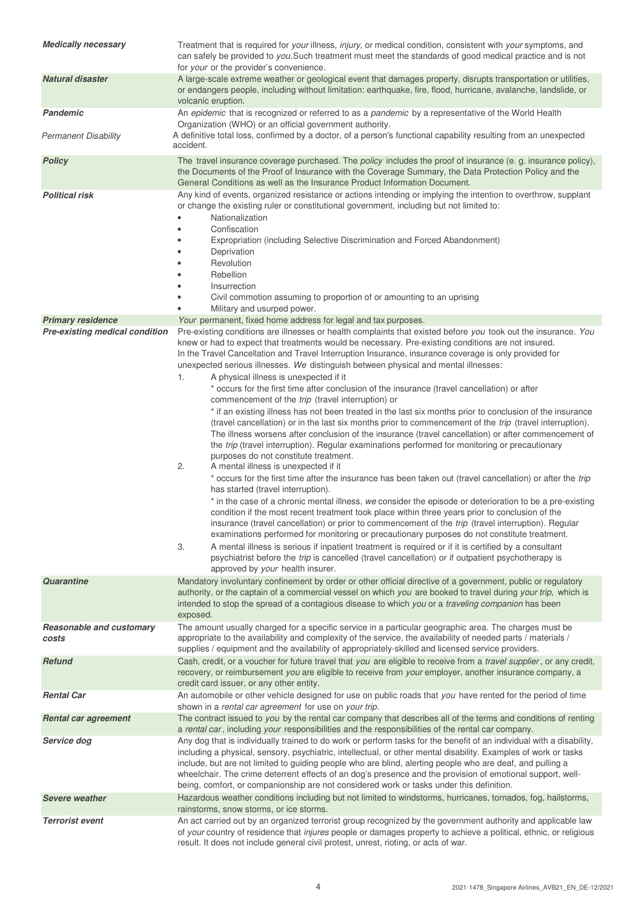| <b>Medically necessary</b>                                 | Treatment that is required for your illness, injury, or medical condition, consistent with your symptoms, and<br>can safely be provided to you. Such treatment must meet the standards of good medical practice and is not<br>for your or the provider's convenience.                                                                                                                                                                                                                                                                                                                                                                                                                                                                                                                                                                                                                                                                                                                                                                                                                                                                                                                                                                                                                                                                                                                                                                                                                                                                                                                                                                                                                                                                                                                                                                                                                                                                                                                                                                                         |  |
|------------------------------------------------------------|---------------------------------------------------------------------------------------------------------------------------------------------------------------------------------------------------------------------------------------------------------------------------------------------------------------------------------------------------------------------------------------------------------------------------------------------------------------------------------------------------------------------------------------------------------------------------------------------------------------------------------------------------------------------------------------------------------------------------------------------------------------------------------------------------------------------------------------------------------------------------------------------------------------------------------------------------------------------------------------------------------------------------------------------------------------------------------------------------------------------------------------------------------------------------------------------------------------------------------------------------------------------------------------------------------------------------------------------------------------------------------------------------------------------------------------------------------------------------------------------------------------------------------------------------------------------------------------------------------------------------------------------------------------------------------------------------------------------------------------------------------------------------------------------------------------------------------------------------------------------------------------------------------------------------------------------------------------------------------------------------------------------------------------------------------------|--|
| <b>Natural disaster</b>                                    | A large-scale extreme weather or geological event that damages property, disrupts transportation or utilities,<br>or endangers people, including without limitation: earthquake, fire, flood, hurricane, avalanche, landslide, or<br>volcanic eruption.                                                                                                                                                                                                                                                                                                                                                                                                                                                                                                                                                                                                                                                                                                                                                                                                                                                                                                                                                                                                                                                                                                                                                                                                                                                                                                                                                                                                                                                                                                                                                                                                                                                                                                                                                                                                       |  |
| <b>Pandemic</b>                                            | An epidemic that is recognized or referred to as a pandemic by a representative of the World Health                                                                                                                                                                                                                                                                                                                                                                                                                                                                                                                                                                                                                                                                                                                                                                                                                                                                                                                                                                                                                                                                                                                                                                                                                                                                                                                                                                                                                                                                                                                                                                                                                                                                                                                                                                                                                                                                                                                                                           |  |
| Permanent Disability                                       | Organization (WHO) or an official government authority.<br>A definitive total loss, confirmed by a doctor, of a person's functional capability resulting from an unexpected<br>accident.                                                                                                                                                                                                                                                                                                                                                                                                                                                                                                                                                                                                                                                                                                                                                                                                                                                                                                                                                                                                                                                                                                                                                                                                                                                                                                                                                                                                                                                                                                                                                                                                                                                                                                                                                                                                                                                                      |  |
| <b>Policy</b>                                              | The travel insurance coverage purchased. The policy includes the proof of insurance (e. g. insurance policy),<br>the Documents of the Proof of Insurance with the Coverage Summary, the Data Protection Policy and the<br>General Conditions as well as the Insurance Product Information Document.                                                                                                                                                                                                                                                                                                                                                                                                                                                                                                                                                                                                                                                                                                                                                                                                                                                                                                                                                                                                                                                                                                                                                                                                                                                                                                                                                                                                                                                                                                                                                                                                                                                                                                                                                           |  |
| <b>Political risk</b>                                      | Any kind of events, organized resistance or actions intending or implying the intention to overthrow, supplant<br>or change the existing ruler or constitutional government, including but not limited to:<br>Nationalization<br>Confiscation<br>Expropriation (including Selective Discrimination and Forced Abandonment)<br>Deprivation<br>Revolution<br>Rebellion<br>Insurrection<br>Civil commotion assuming to proportion of or amounting to an uprising<br>Military and usurped power.                                                                                                                                                                                                                                                                                                                                                                                                                                                                                                                                                                                                                                                                                                                                                                                                                                                                                                                                                                                                                                                                                                                                                                                                                                                                                                                                                                                                                                                                                                                                                                  |  |
| <b>Primary residence</b><br>Pre-existing medical condition | Your permanent, fixed home address for legal and tax purposes.<br>Pre-existing conditions are illnesses or health complaints that existed before you took out the insurance. You<br>knew or had to expect that treatments would be necessary. Pre-existing conditions are not insured.<br>In the Travel Cancellation and Travel Interruption Insurance, insurance coverage is only provided for<br>unexpected serious illnesses. We distinguish between physical and mental illnesses:<br>A physical illness is unexpected if it<br>1.<br>* occurs for the first time after conclusion of the insurance (travel cancellation) or after<br>commencement of the trip (travel interruption) or<br>* if an existing illness has not been treated in the last six months prior to conclusion of the insurance<br>(travel cancellation) or in the last six months prior to commencement of the trip (travel interruption).<br>The illness worsens after conclusion of the insurance (travel cancellation) or after commencement of<br>the trip (travel interruption). Regular examinations performed for monitoring or precautionary<br>purposes do not constitute treatment.<br>2.<br>A mental illness is unexpected if it<br>* occurs for the first time after the insurance has been taken out (travel cancellation) or after the trip<br>has started (travel interruption).<br>* in the case of a chronic mental illness, we consider the episode or deterioration to be a pre-existing<br>condition if the most recent treatment took place within three years prior to conclusion of the<br>insurance (travel cancellation) or prior to commencement of the trip (travel interruption). Regular<br>examinations performed for monitoring or precautionary purposes do not constitute treatment.<br>A mental illness is serious if inpatient treatment is required or if it is certified by a consultant<br>3.<br>psychiatrist before the <i>trip</i> is cancelled (travel cancellation) or if outpatient psychotherapy is<br>approved by your health insurer. |  |
| Quarantine                                                 | Mandatory involuntary confinement by order or other official directive of a government, public or regulatory<br>authority, or the captain of a commercial vessel on which you are booked to travel during your trip, which is<br>intended to stop the spread of a contagious disease to which you or a <i>traveling companion</i> has been<br>exposed.                                                                                                                                                                                                                                                                                                                                                                                                                                                                                                                                                                                                                                                                                                                                                                                                                                                                                                                                                                                                                                                                                                                                                                                                                                                                                                                                                                                                                                                                                                                                                                                                                                                                                                        |  |
| <b>Reasonable and customary</b><br>costs                   | The amount usually charged for a specific service in a particular geographic area. The charges must be<br>appropriate to the availability and complexity of the service, the availability of needed parts / materials /<br>supplies / equipment and the availability of appropriately-skilled and licensed service providers.                                                                                                                                                                                                                                                                                                                                                                                                                                                                                                                                                                                                                                                                                                                                                                                                                                                                                                                                                                                                                                                                                                                                                                                                                                                                                                                                                                                                                                                                                                                                                                                                                                                                                                                                 |  |
| <b>Refund</b>                                              | Cash, credit, or a voucher for future travel that you are eligible to receive from a <i>travel supplier</i> , or any credit,<br>recovery, or reimbursement you are eligible to receive from your employer, another insurance company, a<br>credit card issuer, or any other entity.                                                                                                                                                                                                                                                                                                                                                                                                                                                                                                                                                                                                                                                                                                                                                                                                                                                                                                                                                                                                                                                                                                                                                                                                                                                                                                                                                                                                                                                                                                                                                                                                                                                                                                                                                                           |  |
| <b>Rental Car</b>                                          | An automobile or other vehicle designed for use on public roads that you have rented for the period of time<br>shown in a rental car agreement for use on your trip.                                                                                                                                                                                                                                                                                                                                                                                                                                                                                                                                                                                                                                                                                                                                                                                                                                                                                                                                                                                                                                                                                                                                                                                                                                                                                                                                                                                                                                                                                                                                                                                                                                                                                                                                                                                                                                                                                          |  |
| <b>Rental car agreement</b>                                | The contract issued to you by the rental car company that describes all of the terms and conditions of renting<br>a rental car, including your responsibilities and the responsibilities of the rental car company.                                                                                                                                                                                                                                                                                                                                                                                                                                                                                                                                                                                                                                                                                                                                                                                                                                                                                                                                                                                                                                                                                                                                                                                                                                                                                                                                                                                                                                                                                                                                                                                                                                                                                                                                                                                                                                           |  |
| Service dog                                                | Any dog that is individually trained to do work or perform tasks for the benefit of an individual with a disability,<br>including a physical, sensory, psychiatric, intellectual, or other mental disability. Examples of work or tasks<br>include, but are not limited to guiding people who are blind, alerting people who are deaf, and pulling a<br>wheelchair. The crime deterrent effects of an dog's presence and the provision of emotional support, well-<br>being, comfort, or companionship are not considered work or tasks under this definition.                                                                                                                                                                                                                                                                                                                                                                                                                                                                                                                                                                                                                                                                                                                                                                                                                                                                                                                                                                                                                                                                                                                                                                                                                                                                                                                                                                                                                                                                                                |  |
| <b>Severe weather</b>                                      | Hazardous weather conditions including but not limited to windstorms, hurricanes, tornados, fog, hailstorms,<br>rainstorms, snow storms, or ice storms.                                                                                                                                                                                                                                                                                                                                                                                                                                                                                                                                                                                                                                                                                                                                                                                                                                                                                                                                                                                                                                                                                                                                                                                                                                                                                                                                                                                                                                                                                                                                                                                                                                                                                                                                                                                                                                                                                                       |  |
| <b>Terrorist event</b>                                     | An act carried out by an organized terrorist group recognized by the government authority and applicable law<br>of your country of residence that injures people or damages property to achieve a political, ethnic, or religious<br>result. It does not include general civil protest, unrest, rioting, or acts of war.                                                                                                                                                                                                                                                                                                                                                                                                                                                                                                                                                                                                                                                                                                                                                                                                                                                                                                                                                                                                                                                                                                                                                                                                                                                                                                                                                                                                                                                                                                                                                                                                                                                                                                                                      |  |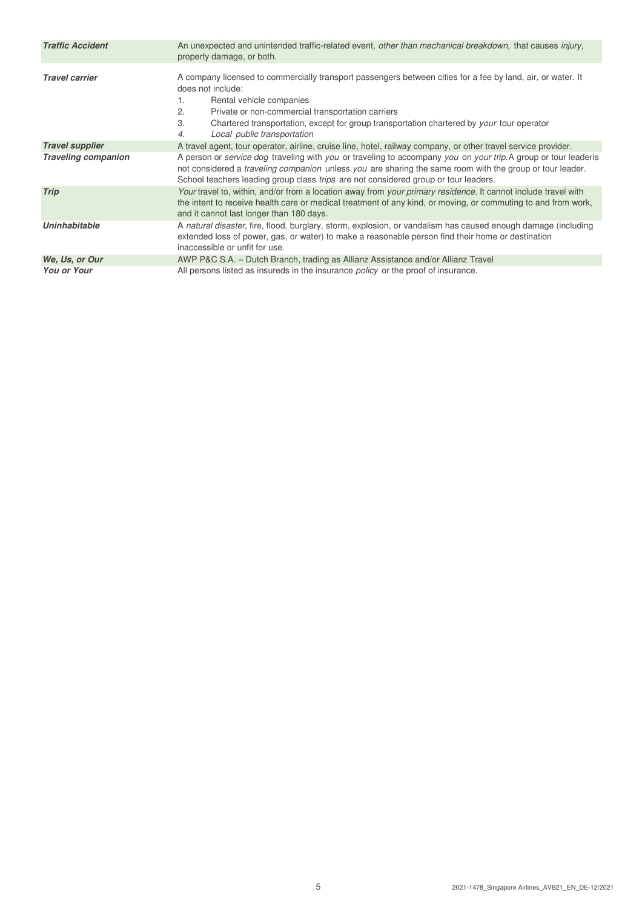| <b>Traffic Accident</b>    | An unexpected and unintended traffic-related event, other than mechanical breakdown, that causes injury,<br>property damage, or both.                                                                                                                                                                                                                                               |  |  |
|----------------------------|-------------------------------------------------------------------------------------------------------------------------------------------------------------------------------------------------------------------------------------------------------------------------------------------------------------------------------------------------------------------------------------|--|--|
| <b>Travel carrier</b>      | A company licensed to commercially transport passengers between cities for a fee by land, air, or water. It<br>does not include:<br>Rental vehicle companies<br>1.<br>Private or non-commercial transportation carriers<br>2.<br>3.<br>Chartered transportation, except for group transportation chartered by your tour operator<br>Local public transportation<br>$\overline{4}$ . |  |  |
| <b>Travel supplier</b>     | A travel agent, tour operator, airline, cruise line, hotel, railway company, or other travel service provider.                                                                                                                                                                                                                                                                      |  |  |
| <b>Traveling companion</b> | A person or <i>service dog</i> traveling with you or traveling to accompany you on your trip. A group or tour leaderis<br>not considered a <i>traveling companion</i> unless you are sharing the same room with the group or tour leader.<br>School teachers leading group class <i>trips</i> are not considered group or tour leaders.                                             |  |  |
| <b>Trip</b>                | Your travel to, within, and/or from a location away from your primary residence. It cannot include travel with<br>the intent to receive health care or medical treatment of any kind, or moving, or commuting to and from work,<br>and it cannot last longer than 180 days.                                                                                                         |  |  |
| <b>Uninhabitable</b>       | A natural disaster, fire, flood, burglary, storm, explosion, or vandalism has caused enough damage (including<br>extended loss of power, gas, or water) to make a reasonable person find their home or destination<br>inaccessible or unfit for use.                                                                                                                                |  |  |
| We, Us, or Our             | AWP P&C S.A. - Dutch Branch, trading as Allianz Assistance and/or Allianz Travel                                                                                                                                                                                                                                                                                                    |  |  |
| <b>You or Your</b>         | All persons listed as insureds in the insurance <i>policy</i> or the proof of insurance.                                                                                                                                                                                                                                                                                            |  |  |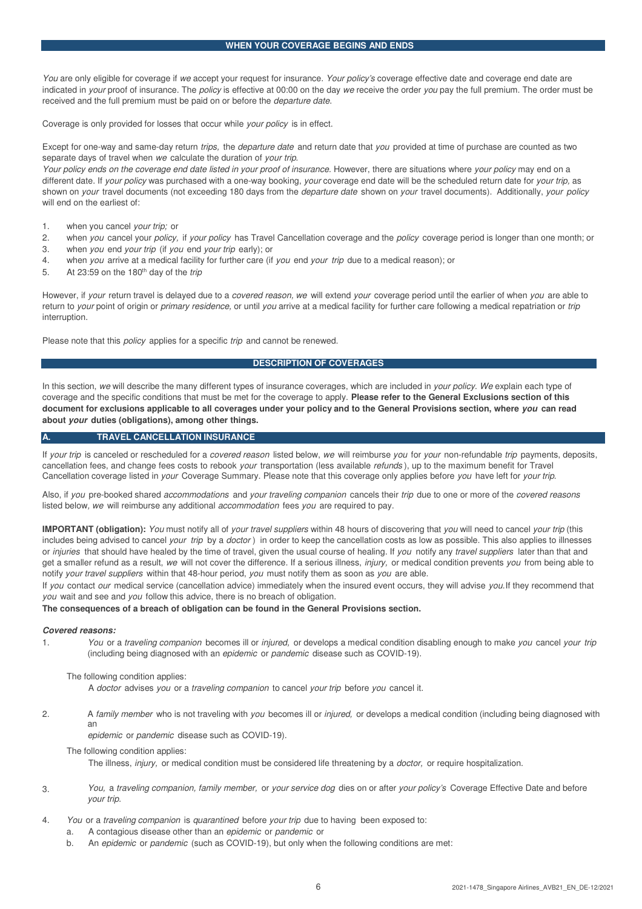You are only eligible for coverage if we accept your request for insurance. Your policy's coverage effective date and coverage end date are indicated in your proof of insurance. The policy is effective at 00:00 on the day we receive the order you pay the full premium. The order must be received and the full premium must be paid on or before the departure date.

Coverage is only provided for losses that occur while your policy is in effect.

Except for one-way and same-day return trips, the departure date and return date that you provided at time of purchase are counted as two separate days of travel when we calculate the duration of your trip.

Your policy ends on the coverage end date listed in your proof of insurance. However, there are situations where your policy may end on a different date. If your policy was purchased with a one-way booking, your coverage end date will be the scheduled return date for your trip, as shown on your travel documents (not exceeding 180 days from the departure date shown on your travel documents). Additionally, your policy will end on the earliest of:

1. when you cancel your trip; or

ï

- 2. when you cancel your policy, if your policy has Travel Cancellation coverage and the policy coverage period is longer than one month; or
- 3. when you end your trip (if you end your trip early); or
- 4. when you arrive at a medical facility for further care (if you end your trip due to a medical reason); or
- 5. At 23:59 on the 180<sup>th</sup> day of the *trip*

However, if your return travel is delayed due to a covered reason, we will extend your coverage period until the earlier of when you are able to return to your point of origin or primary residence, or until you arrive at a medical facility for further care following a medical repatriation or trip interruption.

Please note that this *policy* applies for a specific trip and cannot be renewed.

# **DESCRIPTION OF COVERAGES**

In this section, we will describe the many different types of insurance coverages, which are included in your policy. We explain each type of coverage and the specific conditions that must be met for the coverage to apply. **Please refer to the General Exclusions section of this document for exclusions applicable to all coverages under your policy and to the General Provisions section, where you can read about your duties (obligations), among other things.**

#### **A. TRAVEL CANCELLATION INSURANCE**

If your trip is canceled or rescheduled for a covered reason listed below, we will reimburse you for your non-refundable trip payments, deposits, cancellation fees, and change fees costs to rebook your transportation (less available refunds ), up to the maximum benefit for Travel Cancellation coverage listed in your Coverage Summary. Please note that this coverage only applies before you have left for your trip.

Also, if you pre-booked shared accommodations and your traveling companion cancels their trip due to one or more of the covered reasons listed below, we will reimburse any additional *accommodation* fees you are required to pay.

**IMPORTANT (obligation):** You must notify all of your travel suppliers within 48 hours of discovering that you will need to cancel your trip (this includes being advised to cancel your trip by a doctor) in order to keep the cancellation costs as low as possible. This also applies to illnesses or injuries that should have healed by the time of travel, given the usual course of healing. If you notify any travel suppliers later than that and get a smaller refund as a result, we will not cover the difference. If a serious illness, *injury*, or medical condition prevents you from being able to notify your travel suppliers within that 48-hour period, you must notify them as soon as you are able.

If you contact our medical service (cancellation advice) immediately when the insured event occurs, they will advise you. If they recommend that you wait and see and you follow this advice, there is no breach of obligation.

**The consequences of a breach of obligation can be found in the General Provisions section.**

#### **Covered reasons:**

1. You or a traveling companion becomes ill or injured, or develops a medical condition disabling enough to make you cancel your trip (including being diagnosed with an epidemic or pandemic disease such as COVID-19).

The following condition applies:

A doctor advises you or a traveling companion to cancel your trip before you cancel it.

2. A family member who is not traveling with you becomes ill or injured, or develops a medical condition (including being diagnosed with an

epidemic or pandemic disease such as COVID-19).

The following condition applies:

The illness, *injury*, or medical condition must be considered life threatening by a *doctor*, or require hospitalization.

- 3. You, a traveling companion, family member, or your service dog dies on or after your policy's Coverage Effective Date and before your trip.
- 4. You or a traveling companion is quarantined before your trip due to having been exposed to:
	- a. A contagious disease other than an epidemic or pandemic or
	- b. An epidemic or pandemic (such as COVID-19), but only when the following conditions are met: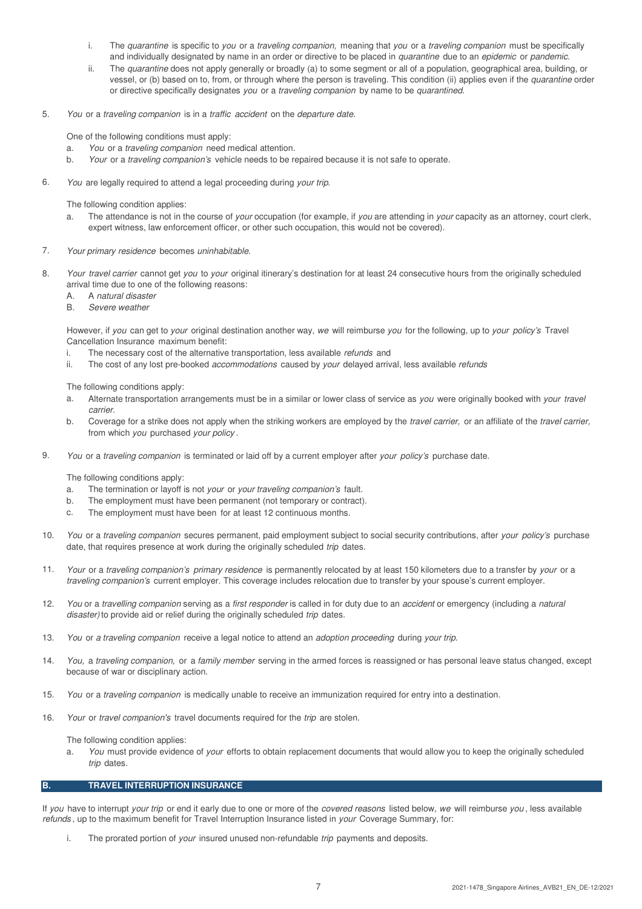- i. The quarantine is specific to you or a traveling companion, meaning that you or a traveling companion must be specifically and individually designated by name in an order or directive to be placed in *quarantine* due to an *epidemic* or *pandemic*.
- ii. The quarantine does not apply generally or broadly (a) to some segment or all of a population, geographical area, building, or vessel, or (b) based on to, from, or through where the person is traveling. This condition (ii) applies even if the quarantine order or directive specifically designates you or a traveling companion by name to be quarantined.
- 5. You or a traveling companion is in a traffic accident on the departure date.

One of the following conditions must apply:

- a. You or a traveling companion need medical attention.
- b. Your or a traveling companion's vehicle needs to be repaired because it is not safe to operate.
- 6. You are legally required to attend a legal proceeding during your trip.

The following condition applies:

- a. The attendance is not in the course of your occupation (for example, if you are attending in your capacity as an attorney, court clerk, expert witness, law enforcement officer, or other such occupation, this would not be covered).
- 7. Your primary residence becomes uninhabitable.
- 8. Your travel carrier cannot get you to your original itinerary's destination for at least 24 consecutive hours from the originally scheduled arrival time due to one of the following reasons:
	- A. A natural disaster
	- B. Severe weather

However, if you can get to your original destination another way, we will reimburse you for the following, up to your policy's Travel Cancellation Insurance maximum benefit:

- i. The necessary cost of the alternative transportation, less available refunds and
- ii. The cost of any lost pre-booked *accommodations* caused by *your* delayed arrival, less available refunds

The following conditions apply:

- a. Alternate transportation arrangements must be in a similar or lower class of service as you were originally booked with your travel carrier.
- b. Coverage for a strike does not apply when the striking workers are employed by the travel carrier, or an affiliate of the travel carrier, from which you purchased your policy.
- 9. You or a traveling companion is terminated or laid off by a current employer after your policy's purchase date.

The following conditions apply:

- a. The termination or layoff is not your or your traveling companion's fault.
- b. The employment must have been permanent (not temporary or contract).
- c. The employment must have been for at least 12 continuous months.
- 10. You or a traveling companion secures permanent, paid employment subject to social security contributions, after your policy's purchase date, that requires presence at work during the originally scheduled trip dates.
- 11. Your or a traveling companion's primary residence is permanently relocated by at least 150 kilometers due to a transfer by your or a traveling companion's current employer. This coverage includes relocation due to transfer by your spouse's current employer.
- 12. You or a travelling companion serving as a first responder is called in for duty due to an accident or emergency (including a natural disaster) to provide aid or relief during the originally scheduled trip dates.
- 13. You or a traveling companion receive a legal notice to attend an adoption proceeding during your trip.
- 14. You, a traveling companion, or a family member serving in the armed forces is reassigned or has personal leave status changed, except because of war or disciplinary action.
- 15. You or a traveling companion is medically unable to receive an immunization required for entry into a destination.
- 16. Your or travel companion's travel documents required for the trip are stolen.

The following condition applies:

a. You must provide evidence of your efforts to obtain replacement documents that would allow you to keep the originally scheduled trip dates.

# **B. TRAVEL INTERRUPTION INSURANCE**

If you have to interrupt your trip or end it early due to one or more of the covered reasons listed below, we will reimburse you, less available refunds, up to the maximum benefit for Travel Interruption Insurance listed in your Coverage Summary, for:

The prorated portion of your insured unused non-refundable trip payments and deposits.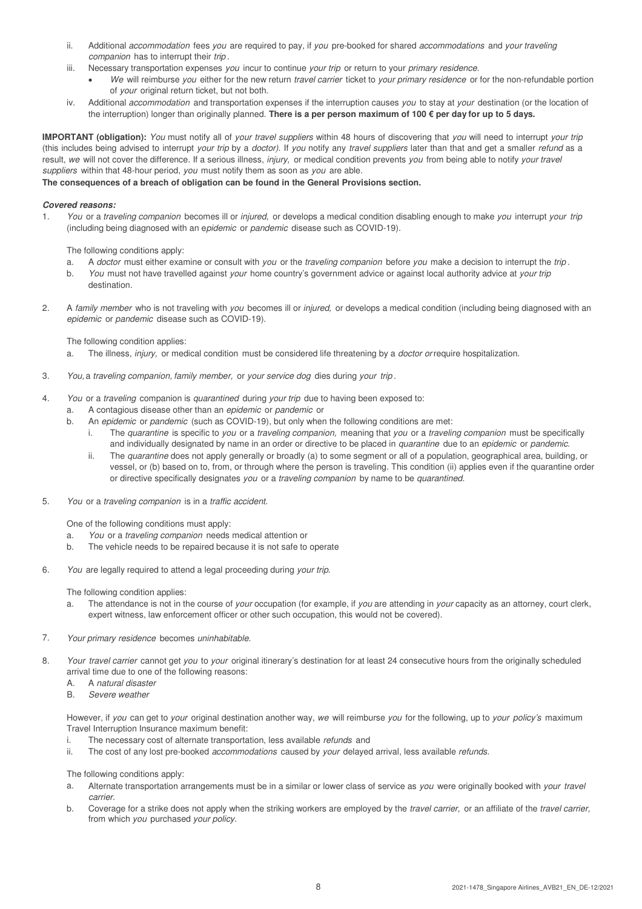- ii. Additional accommodation fees you are required to pay, if you pre-booked for shared accommodations and your traveling companion has to interrupt their trip.
- iii. Necessary transportation expenses you incur to continue your trip or return to your primary residence.
	- We will reimburse you either for the new return travel carrier ticket to your primary residence or for the non-refundable portion of your original return ticket, but not both.
- iv. Additional accommodation and transportation expenses if the interruption causes you to stay at your destination (or the location of the interruption) longer than originally planned. **There is a per person maximum of 100 € per day for up to 5 days.**

**IMPORTANT (obligation):** You must notify all of your travel suppliers within 48 hours of discovering that you will need to interrupt your trip (this includes being advised to interrupt your trip by a doctor). If you notify any travel suppliers later than that and get a smaller refund as a result, we will not cover the difference. If a serious illness, injury, or medical condition prevents you from being able to notify your travel suppliers within that 48-hour period, you must notify them as soon as you are able.

# **The consequences of a breach of obligation can be found in the General Provisions section.**

# **Covered reasons:**

1. You or a traveling companion becomes ill or injured, or develops a medical condition disabling enough to make you interrupt your trip (including being diagnosed with an epidemic or pandemic disease such as COVID-19).

The following conditions apply:

- a. A doctor must either examine or consult with you or the traveling companion before you make a decision to interrupt the trip.
- b. You must not have travelled against your home country's government advice or against local authority advice at your trip destination.
- 2. A family member who is not traveling with you becomes ill or injured, or develops a medical condition (including being diagnosed with an epidemic or pandemic disease such as COVID-19).

The following condition applies:

- a. The illness, injury, or medical condition must be considered life threatening by a *doctor or* require hospitalization.
- 3. You, a traveling companion, family member, or your service dog dies during your trip .
- 4. You or a traveling companion is quarantined during your trip due to having been exposed to:
	- a. A contagious disease other than an epidemic or pandemic or
	- b. An epidemic or pandemic (such as COVID-19), but only when the following conditions are met:
		- i. The quarantine is specific to you or a traveling companion, meaning that you or a traveling companion must be specifically and individually designated by name in an order or directive to be placed in quarantine due to an epidemic or pandemic.
		- ii. The quarantine does not apply generally or broadly (a) to some segment or all of a population, geographical area, building, or vessel, or (b) based on to, from, or through where the person is traveling. This condition (ii) applies even if the quarantine order or directive specifically designates you or a traveling companion by name to be quarantined.
- 5. You or a traveling companion is in a traffic accident.

One of the following conditions must apply:

- a. You or a traveling companion needs medical attention or
- b. The vehicle needs to be repaired because it is not safe to operate
- 6. You are legally required to attend a legal proceeding during your trip.

The following condition applies:

- a. The attendance is not in the course of your occupation (for example, if you are attending in your capacity as an attorney, court clerk, expert witness, law enforcement officer or other such occupation, this would not be covered).
- 7. Your primary residence becomes uninhabitable.
- 8. Your travel carrier cannot get you to your original itinerary's destination for at least 24 consecutive hours from the originally scheduled arrival time due to one of the following reasons:
	- A. A natural disaster
	- B. Severe weather

However, if you can get to your original destination another way, we will reimburse you for the following, up to your policy's maximum Travel Interruption Insurance maximum benefit:

- i. The necessary cost of alternate transportation, less available *refunds* and
- ii. The cost of any lost pre-booked *accommodations* caused by your delayed arrival, less available *refunds*.

The following conditions apply:

- a. Alternate transportation arrangements must be in a similar or lower class of service as you were originally booked with your travel carrier.
- b. Coverage for a strike does not apply when the striking workers are employed by the travel carrier, or an affiliate of the travel carrier, from which you purchased your policy.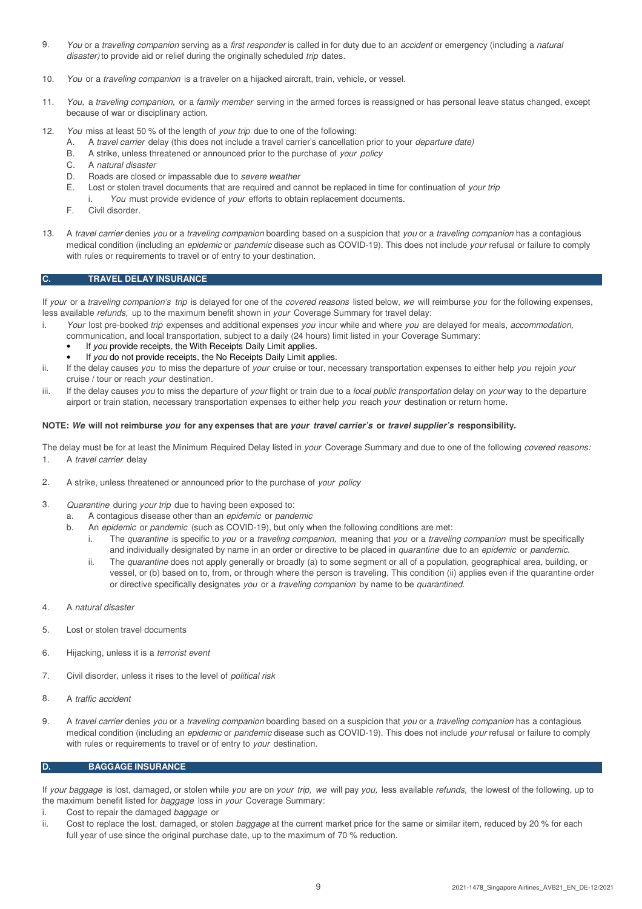- 9. You or a traveling companion serving as a first responder is called in for duty due to an accident or emergency (including a natural disaster) to provide aid or relief during the originally scheduled trip dates.
- 10. You or a traveling companion is a traveler on a hijacked aircraft, train, vehicle, or vessel.
- 11. You, a traveling companion, or a family member serving in the armed forces is reassigned or has personal leave status changed, except because of war or disciplinary action.
- 12. You miss at least 50 % of the length of your trip due to one of the following:
	- A. A travel carrier delay (this does not include a travel carrier's cancellation prior to your *departure date*)
	- B. A strike, unless threatened or announced prior to the purchase of your policy
	- C. A natural disaster
	- D. Roads are closed or impassable due to severe weather
	- E. Lost or stolen travel documents that are required and cannot be replaced in time for continuation of your trip
		- i. You must provide evidence of your efforts to obtain replacement documents.
	- F. Civil disorder.
- 13. A travel carrier denies you or a traveling companion boarding based on a suspicion that you or a traveling companion has a contagious medical condition (including an *epidemic* or *pandemic* disease such as COVID-19). This does not include *your* refusal or failure to comply with rules or requirements to travel or of entry to your destination.

# **C. TRAVEL DELAY INSURANCE**

If your or a traveling companion's trip is delayed for one of the covered reasons listed below, we will reimburse you for the following expenses, less available refunds, up to the maximum benefit shown in your Coverage Summary for travel delay:

- i. Your lost pre-booked trip expenses and additional expenses you incur while and where you are delayed for meals, accommodation,
	- communication, and local transportation, subject to a daily (24 hours) limit listed in your Coverage Summary:
		- If you provide receipts, the With Receipts Daily Limit applies.
		- If you do not provide receipts, the No Receipts Daily Limit applies.
- ii. If the delay causes you to miss the departure of your cruise or tour, necessary transportation expenses to either help you rejoin your cruise / tour or reach your destination.
- iii. If the delay causes you to miss the departure of your flight or train due to a local public transportation delay on your way to the departure airport or train station, necessary transportation expenses to either help you reach your destination or return home.

# **NOTE: We will not reimburse you for any expenses that are your travel carrier's or travel supplier's responsibility.**

The delay must be for at least the Minimum Required Delay listed in your Coverage Summary and due to one of the following covered reasons: 1. A travel carrier delay

- 2. A strike, unless threatened or announced prior to the purchase of your policy
- 3. Quarantine during your trip due to having been exposed to:
	- a. A contagious disease other than an epidemic or pandemic
	- b. An epidemic or pandemic (such as COVID-19), but only when the following conditions are met:
		- i. The quarantine is specific to you or a traveling companion, meaning that you or a traveling companion must be specifically and individually designated by name in an order or directive to be placed in quarantine due to an epidemic or pandemic.
		- ii. The quarantine does not apply generally or broadly (a) to some segment or all of a population, geographical area, building, or vessel, or (b) based on to, from, or through where the person is traveling. This condition (ii) applies even if the quarantine order or directive specifically designates you or a traveling companion by name to be quarantined.
- 4. A natural disaster
- 5. Lost or stolen travel documents
- 6. Hijacking, unless it is a terrorist event
- 7. Civil disorder, unless it rises to the level of *political risk*
- 8. A traffic accident
- 9. A travel carrier denies you or a traveling companion boarding based on a suspicion that you or a traveling companion has a contagious medical condition (including an epidemic or pandemic disease such as COVID-19). This does not include your refusal or failure to comply with rules or requirements to travel or of entry to your destination.

# **D. BAGGAGE INSURANCE**

If your baggage is lost, damaged, or stolen while you are on your trip, we will pay you, less available refunds, the lowest of the following, up to the maximum benefit listed for baggage loss in your Coverage Summary:

- i. Cost to repair the damaged baggage or
- ii. Cost to replace the lost, damaged, or stolen baggage at the current market price for the same or similar item, reduced by 20 % for each full year of use since the original purchase date, up to the maximum of 70 % reduction.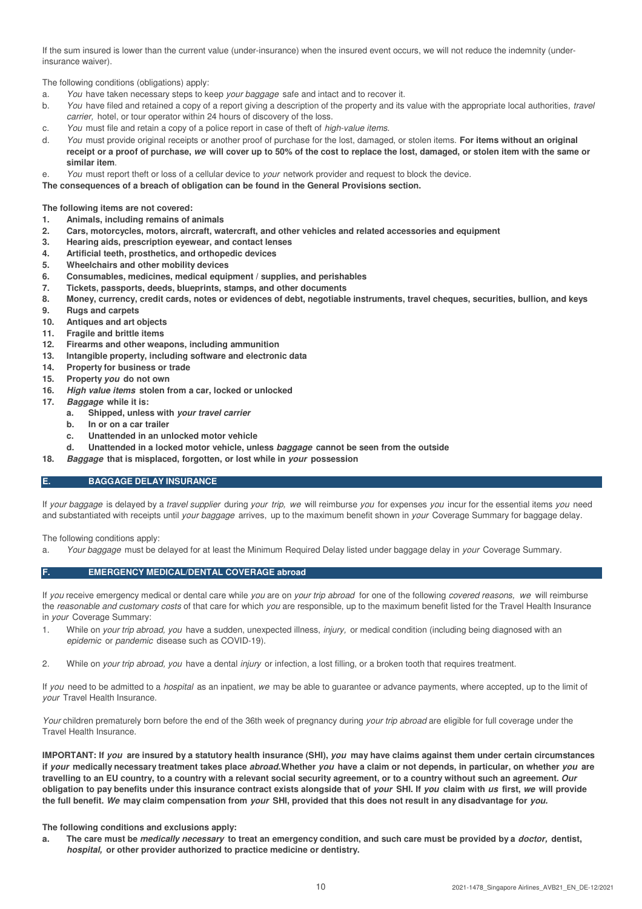If the sum insured is lower than the current value (under-insurance) when the insured event occurs, we will not reduce the indemnity (underinsurance waiver).

The following conditions (obligations) apply:

- a. You have taken necessary steps to keep your baggage safe and intact and to recover it.
- b. You have filed and retained a copy of a report giving a description of the property and its value with the appropriate local authorities, *travel* carrier, hotel, or tour operator within 24 hours of discovery of the loss.
- c. You must file and retain a copy of a police report in case of theft of *high-value items*.
- d. You must provide original receipts or another proof of purchase for the lost, damaged, or stolen items. **For items without an original receipt or a proof of purchase, we will cover up to 50% of the cost to replace the lost, damaged, or stolen item with the same or similar item**.
- e. You must report theft or loss of a cellular device to your network provider and request to block the device.
- **The consequences of a breach of obligation can be found in the General Provisions section.**

**The following items are not covered:**

- **1. Animals, including remains of animals**
- **2. Cars, motorcycles, motors, aircraft, watercraft, and other vehicles and related accessories and equipment**
- **3. Hearing aids, prescription eyewear, and contact lenses**
- **4. Artificial teeth, prosthetics, and orthopedic devices**
- **5. Wheelchairs and other mobility devices**
- **6. Consumables, medicines, medical equipment / supplies, and perishables**
- **7. Tickets, passports, deeds, blueprints, stamps, and other documents**
- **8. Money, currency, credit cards, notes or evidences of debt, negotiable instruments, travel cheques, securities, bullion, and keys**
- **9. Rugs and carpets**
- **10. Antiques and art objects**
- **11. Fragile and brittle items**
- **12. Firearms and other weapons, including ammunition**
- **13. Intangible property, including software and electronic data**
- **14. Property for business or trade**
- **15. Property you do not own**
- **16. High value items stolen from a car, locked or unlocked**
- **17. Baggage while it is:**
	- **a. Shipped, unless with your travel carrier**
		- **b. In or on a car trailer**
		- **c. Unattended in an unlocked motor vehicle**
		- **d. Unattended in a locked motor vehicle, unless baggage cannot be seen from the outside**
- **18. Baggage that is misplaced, forgotten, or lost while in your possession**

# **E. BAGGAGE DELAY INSURANCE**

If your baggage is delayed by a travel supplier during your trip, we will reimburse you for expenses you incur for the essential items you need and substantiated with receipts until your baggage arrives, up to the maximum benefit shown in your Coverage Summary for baggage delay.

The following conditions apply:

a. Your baggage must be delayed for at least the Minimum Required Delay listed under baggage delay in your Coverage Summary.

# **F. EMERGENCY MEDICAL/DENTAL COVERAGE abroad**

If you receive emergency medical or dental care while you are on your trip abroad for one of the following covered reasons, we will reimburse the reasonable and customary costs of that care for which you are responsible, up to the maximum benefit listed for the Travel Health Insurance in your Coverage Summary:

- 1. While on your trip abroad, you have a sudden, unexpected illness, injury, or medical condition (including being diagnosed with an epidemic or pandemic disease such as COVID-19).
- 2. While on your trip abroad, you have a dental injury or infection, a lost filling, or a broken tooth that requires treatment.

If you need to be admitted to a *hospital* as an inpatient, we may be able to guarantee or advance payments, where accepted, up to the limit of your Travel Health Insurance.

Your children prematurely born before the end of the 36th week of pregnancy during your trip abroad are eligible for full coverage under the Travel Health Insurance.

**IMPORTANT: If you are insured by a statutory health insurance (SHI), you may have claims against them under certain circumstances if your medically necessary treatment takes place abroad. Whether you have a claim or not depends, in particular, on whether you are travelling to an EU country, to a country with a relevant social security agreement, or to a country without such an agreement. Our obligation to pay benefits under this insurance contract exists alongside that of your SHI. If you claim with us first, we will provide the full benefit. We may claim compensation from your SHI, provided that this does not result in any disadvantage for you.**

#### **The following conditions and exclusions apply:**

**a. The care must be medically necessary to treat an emergency condition, and such care must be provided by a doctor, dentist, hospital, or other provider authorized to practice medicine or dentistry.**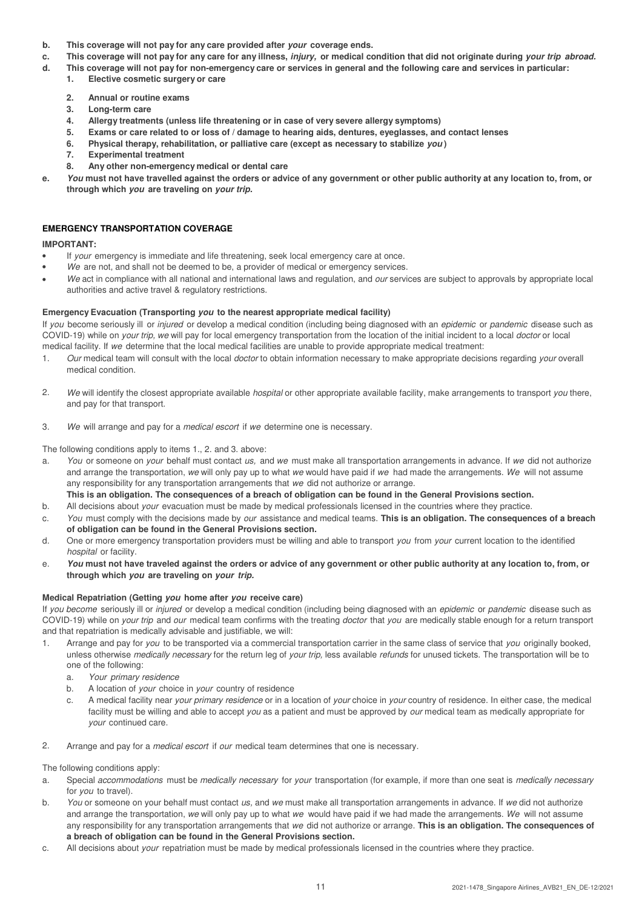- **b. This coverage will not pay for any care provided after your coverage ends.**
- **c. This coverage will not pay for any care for any illness, injury, or medical condition that did not originate during your trip abroad.**
- **d. This coverage will not pay for non-emergency care or services in general and the following care and services in particular:**
	- **1. Elective cosmetic surgery or care**
	- **2. Annual or routine exams**
	- **3. Long-term care**
	- **4. Allergy treatments (unless life threatening or in case of very severe allergy symptoms)**
	- **5. Exams or care related to or loss of / damage to hearing aids, dentures, eyeglasses, and contact lenses**
	- **6. Physical therapy, rehabilitation, or palliative care (except as necessary to stabilize you )**
	- **7. Experimental treatment**
	- **8. Any other non-emergency medical or dental care**
- **e. You must not have travelled against the orders or advice of any government or other public authority at any location to, from, or through which you are traveling on your trip.**

# **EMERGENCY TRANSPORTATION COVERAGE**

# **IMPORTANT:**

- If your emergency is immediate and life threatening, seek local emergency care at once.
- We are not, and shall not be deemed to be, a provider of medical or emergency services.
- We act in compliance with all national and international laws and regulation, and our services are subject to approvals by appropriate local authorities and active travel & regulatory restrictions.

# **Emergency Evacuation (Transporting you to the nearest appropriate medical facility)**

If you become seriously ill or *injured* or develop a medical condition (including being diagnosed with an *epidemic* or pandemic disease such as COVID-19) while on your trip, we will pay for local emergency transportation from the location of the initial incident to a local doctor or local medical facility. If we determine that the local medical facilities are unable to provide appropriate medical treatment:

- 1. Our medical team will consult with the local *doctor* to obtain information necessary to make appropriate decisions regarding your overall medical condition.
- 2. We will identify the closest appropriate available *hospital* or other appropriate available facility, make arrangements to transport you there, and pay for that transport.
- 3. We will arrange and pay for a *medical escort* if we determine one is necessary.

The following conditions apply to items 1., 2. and 3. above:

- a. You or someone on your behalf must contact us, and we must make all transportation arrangements in advance. If we did not authorize and arrange the transportation, we will only pay up to what we would have paid if we had made the arrangements. We will not assume any responsibility for any transportation arrangements that we did not authorize or arrange. **This is an obligation. The consequences of a breach of obligation can be found in the General Provisions section.**
- b. All decisions about *your* evacuation must be made by medical professionals licensed in the countries where they practice.
- c. You must comply with the decisions made by our assistance and medical teams. **This is an obligation. The consequences of a breach of obligation can be found in the General Provisions section.**
- d. One or more emergency transportation providers must be willing and able to transport you from your current location to the identified hospital or facility.
- e. **You must not have traveled against the orders or advice of any government or other public authority at any location to, from, or through which you are traveling on your trip.**

# **Medical Repatriation (Getting you home after you receive care)**

If you become seriously ill or injured or develop a medical condition (including being diagnosed with an epidemic or pandemic disease such as COVID-19) while on your trip and our medical team confirms with the treating doctor that you are medically stable enough for a return transport and that repatriation is medically advisable and justifiable, we will:

- 1. Arrange and pay for you to be transported via a commercial transportation carrier in the same class of service that you originally booked, unless otherwise medically necessary for the return leg of your trip, less available refunds for unused tickets. The transportation will be to one of the following:
	- a. Your primary residence
	- b. A location of your choice in your country of residence
	- c. A medical facility near your primary residence or in a location of your choice in your country of residence. In either case, the medical facility must be willing and able to accept you as a patient and must be approved by our medical team as medically appropriate for your continued care.
- 2. Arrange and pay for a *medical escort* if our medical team determines that one is necessary.

The following conditions apply:

- a. Special accommodations must be medically necessary for your transportation (for example, if more than one seat is medically necessary for you to travel).
- b. You or someone on your behalf must contact us, and we must make all transportation arrangements in advance. If we did not authorize and arrange the transportation, we will only pay up to what we would have paid if we had made the arrangements. We will not assume any responsibility for any transportation arrangements that we did not authorize or arrange. **This is an obligation. The consequences of a breach of obligation can be found in the General Provisions section.**
- c. All decisions about your repatriation must be made by medical professionals licensed in the countries where they practice.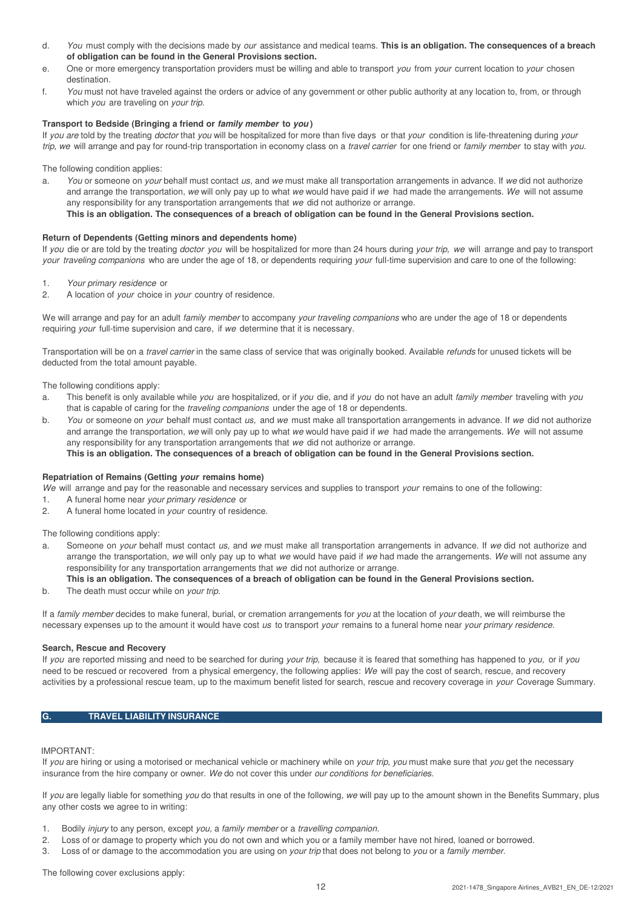- d. You must comply with the decisions made by our assistance and medical teams. **This is an obligation. The consequences of a breach of obligation can be found in the General Provisions section.**
- e. One or more emergency transportation providers must be willing and able to transport you from your current location to your chosen destination.
- f. You must not have traveled against the orders or advice of any government or other public authority at any location to, from, or through which you are traveling on your trip.

# **Transport to Bedside (Bringing a friend or family member to you )**

If you are told by the treating doctor that you will be hospitalized for more than five days or that your condition is life-threatening during your trip, we will arrange and pay for round-trip transportation in economy class on a travel carrier for one friend or family member to stay with you.

The following condition applies:

a. You or someone on your behalf must contact us, and we must make all transportation arrangements in advance. If we did not authorize and arrange the transportation, we will only pay up to what we would have paid if we had made the arrangements. We will not assume any responsibility for any transportation arrangements that we did not authorize or arrange. **This is an obligation. The consequences of a breach of obligation can be found in the General Provisions section.**

## **Return of Dependents (Getting minors and dependents home)**

If you die or are told by the treating doctor you will be hospitalized for more than 24 hours during your trip, we will arrange and pay to transport your traveling companions who are under the age of 18, or dependents requiring your full-time supervision and care to one of the following:

- 1. Your primary residence or
- 2. A location of your choice in your country of residence.

We will arrange and pay for an adult family member to accompany your traveling companions who are under the age of 18 or dependents requiring your full-time supervision and care, if we determine that it is necessary.

Transportation will be on a travel carrier in the same class of service that was originally booked. Available refunds for unused tickets will be deducted from the total amount payable.

The following conditions apply:

- a. This benefit is only available while you are hospitalized, or if you die, and if you do not have an adult family member traveling with you that is capable of caring for the traveling companions under the age of 18 or dependents.
- b. You or someone on your behalf must contact us, and we must make all transportation arrangements in advance. If we did not authorize and arrange the transportation, we will only pay up to what we would have paid if we had made the arrangements. We will not assume any responsibility for any transportation arrangements that we did not authorize or arrange. **This is an obligation. The consequences of a breach of obligation can be found in the General Provisions section.**

# **Repatriation of Remains (Getting your remains home)**

We will arrange and pay for the reasonable and necessary services and supplies to transport your remains to one of the following:

- 1. A funeral home near your primary residence or
- 2. A funeral home located in your country of residence.

The following conditions apply:

a. Someone on *your* behalf must contact us, and we must make all transportation arrangements in advance. If we did not authorize and arrange the transportation, we will only pay up to what we would have paid if we had made the arrangements. We will not assume any responsibility for any transportation arrangements that we did not authorize or arrange.

# **This is an obligation. The consequences of a breach of obligation can be found in the General Provisions section.**

b. The death must occur while on *vour trip.* 

If a family member decides to make funeral, burial, or cremation arrangements for you at the location of your death, we will reimburse the necessary expenses up to the amount it would have cost us to transport your remains to a funeral home near your primary residence.

#### **Search, Rescue and Recovery**

If you are reported missing and need to be searched for during your trip, because it is feared that something has happened to you, or if you need to be rescued or recovered from a physical emergency, the following applies: We will pay the cost of search, rescue, and recovery activities by a professional rescue team, up to the maximum benefit listed for search, rescue and recovery coverage in your Coverage Summary.

# **G. TRAVEL LIABILITY INSURANCE**

#### IMPORTANT:

If you are hiring or using a motorised or mechanical vehicle or machinery while on your trip, you must make sure that you get the necessary insurance from the hire company or owner. We do not cover this under our conditions for beneficiaries.

If you are legally liable for something you do that results in one of the following, we will pay up to the amount shown in the Benefits Summary, plus any other costs we agree to in writing:

- 1. Bodily injury to any person, except you, a family member or a travelling companion.
- 2. Loss of or damage to property which you do not own and which you or a family member have not hired, loaned or borrowed.
- 3. Loss of or damage to the accommodation you are using on your trip that does not belong to you or a family member.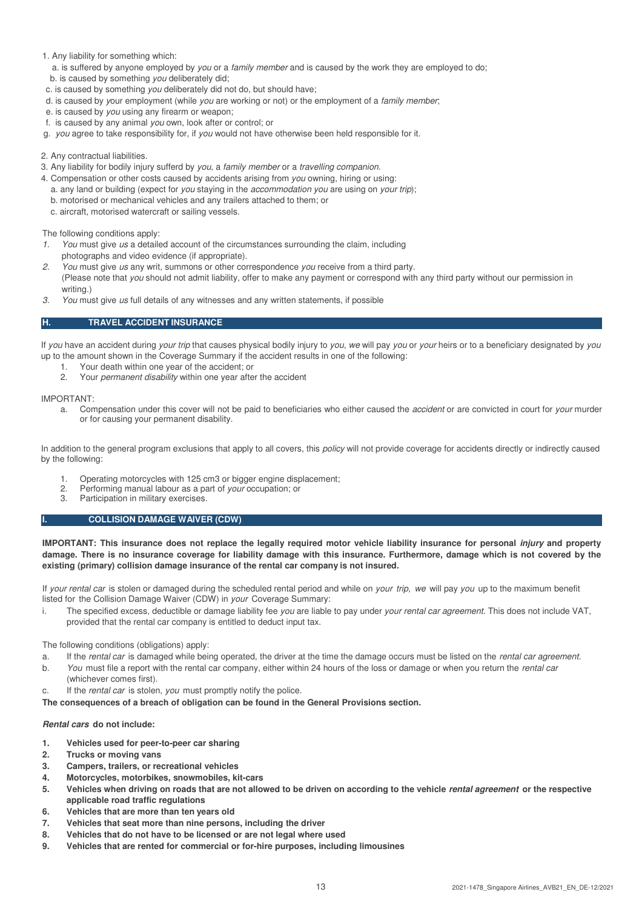# 1. Any liability for something which:

a. is suffered by anyone employed by *you* or a family member and is caused by the work they are employed to do; b. is caused by something you deliberately did;

- c. is caused by something you deliberately did not do, but should have;
- d. is caused by your employment (while you are working or not) or the employment of a family member;
- e. is caused by you using any firearm or weapon;
- f. is caused by any animal you own, look after or control; or
- g. you agree to take responsibility for, if you would not have otherwise been held responsible for it.
- 2. Any contractual liabilities.
- 3. Any liability for bodily injury sufferd by you, a family member or a travelling companion.
- 4. Compensation or other costs caused by accidents arising from you owning, hiring or using:
	- a. any land or building (expect for you staying in the accommodation you are using on your trip);
	- b. motorised or mechanical vehicles and any trailers attached to them; or
	- c. aircraft, motorised watercraft or sailing vessels.

The following conditions apply:

- 1. You must give us a detailed account of the circumstances surrounding the claim, including photographs and video evidence (if appropriate).
- 2. You must give us any writ, summons or other correspondence you receive from a third party. (Please note that you should not admit liability, offer to make any payment or correspond with any third party without our permission in writing.)
- 3. You must give us full details of any witnesses and any written statements, if possible

# **H. TRAVEL ACCIDENT INSURANCE**

If you have an accident during your trip that causes physical bodily injury to you, we will pay you or your heirs or to a beneficiary designated by you up to the amount shown in the Coverage Summary if the accident results in one of the following:

- 1. Your death within one year of the accident; or
- 2. Your permanent disability within one year after the accident

IMPORTANT:

a. Compensation under this cover will not be paid to beneficiaries who either caused the *accident* or are convicted in court for *your* murder or for causing your permanent disability.

In addition to the general program exclusions that apply to all covers, this *policy* will not provide coverage for accidents directly or indirectly caused by the following:

- 1. Operating motorcycles with 125 cm3 or bigger engine displacement;
- 2. Performing manual labour as a part of your occupation; or
- 3. Participation in military exercises.

# **I. COLLISION DAMAGE WAIVER (CDW)**

**IMPORTANT: This insurance does not replace the legally required motor vehicle liability insurance for personal injury and property damage. There is no insurance coverage for liability damage with this insurance. Furthermore, damage which is not covered by the existing (primary) collision damage insurance of the rental car company is not insured.**

If your rental car is stolen or damaged during the scheduled rental period and while on your trip, we will pay you up to the maximum benefit listed for the Collision Damage Waiver (CDW) in your Coverage Summary:

i. The specified excess, deductible or damage liability fee you are liable to pay under your rental car agreement. This does not include VAT, provided that the rental car company is entitled to deduct input tax.

The following conditions (obligations) apply:

- a. If the rental car is damaged while being operated, the driver at the time the damage occurs must be listed on the rental car agreement.
- b. You must file a report with the rental car company, either within 24 hours of the loss or damage or when you return the rental car
- (whichever comes first).
- c. If the rental car is stolen, you must promptly notify the police.

**The consequences of a breach of obligation can be found in the General Provisions section.**

# **Rental cars do not include:**

- **1. Vehicles used for peer-to-peer car sharing**
- **2. Trucks or moving vans**
- **3. Campers, trailers, or recreational vehicles**
- **4. Motorcycles, motorbikes, snowmobiles, kit-cars**
- **5. Vehicles when driving on roads that are not allowed to be driven on according to the vehicle rental agreement or the respective applicable road traffic regulations**
- **6. Vehicles that are more than ten years old**
- **7. Vehicles that seat more than nine persons, including the driver**
- **8. Vehicles that do not have to be licensed or are not legal where used**
- **9. Vehicles that are rented for commercial or for-hire purposes, including limousines**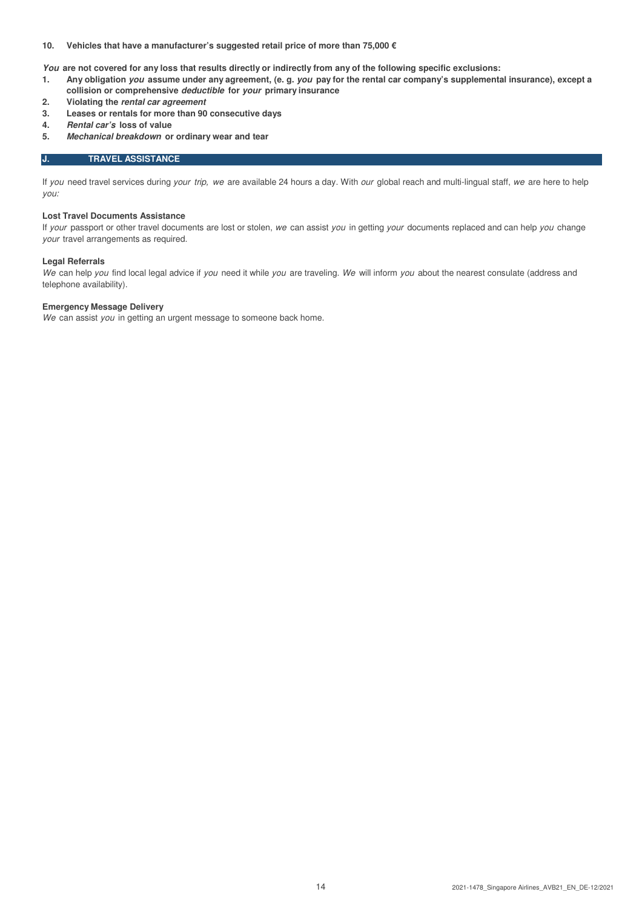# **10. Vehicles that have a manufacturer's suggested retail price of more than 75,000 €**

**You are not covered for any loss that results directly or indirectly from any of the following specific exclusions:**

- **1. Any obligation you assume under any agreement, (e. g. you pay for the rental car company's supplemental insurance), except a collision or comprehensive deductible for your primary insurance**
- **2. Violating the rental car agreement**
- **3. Leases or rentals for more than 90 consecutive days**
- **4. Rental car's loss of value**
- **5. Mechanical breakdown or ordinary wear and tear**

# **J. TRAVEL ASSISTANCE**

If you need travel services during your trip, we are available 24 hours a day. With our global reach and multi-lingual staff, we are here to help you:

#### **Lost Travel Documents Assistance**

If your passport or other travel documents are lost or stolen, we can assist you in getting your documents replaced and can help you change your travel arrangements as required.

#### **Legal Referrals**

We can help you find local legal advice if you need it while you are traveling. We will inform you about the nearest consulate (address and telephone availability).

# **Emergency Message Delivery**

We can assist you in getting an urgent message to someone back home.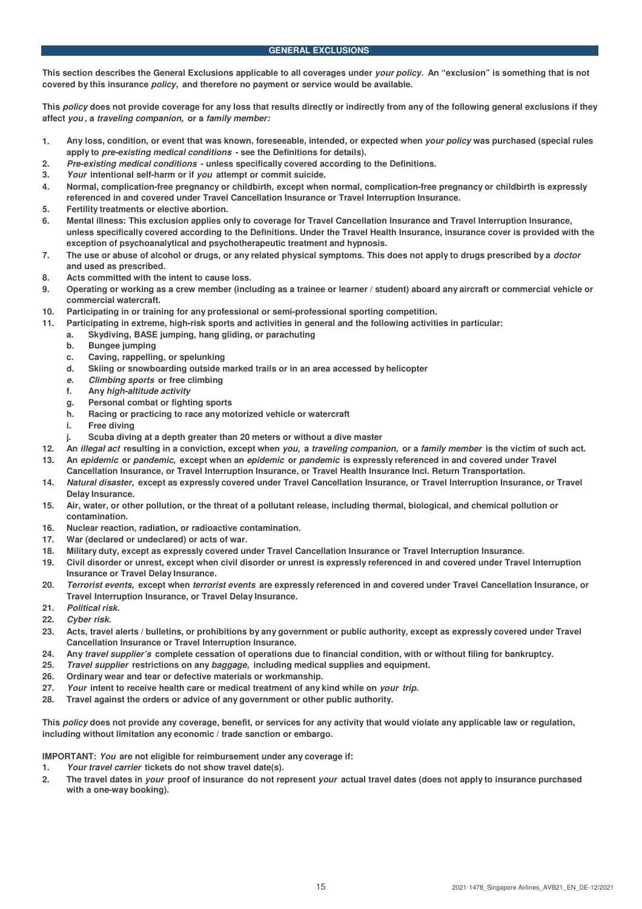## **GENERAL EXCLUSIONS**

**This section describes the General Exclusions applicable to all coverages under your policy. An "exclusion" is something that is not covered by this insurance policy, and therefore no payment or service would be available.**

**This policy does not provide coverage for any loss that results directly or indirectly from any of the following general exclusions if they affect you , a traveling companion, or a family member:**

- **1. Any loss, condition, or event that was known, foreseeable, intended, or expected when your policy was purchased (special rules apply to pre-existing medical conditions - see the Definitions for details).**
- **2. Pre-existing medical conditions unless specifically covered according to the Definitions.**
- **3. Your intentional self-harm or if you attempt or commit suicide.**
- **4. Normal, complication-free pregnancy or childbirth, except when normal, complication-free pregnancy or childbirth is expressly referenced in and covered under Travel Cancellation Insurance or Travel Interruption Insurance.**
- **5. Fertility treatments or elective abortion.**
- **6. Mental illness: This exclusion applies only to coverage for Travel Cancellation Insurance and Travel Interruption Insurance, unless specifically covered according to the Definitions. Under the Travel Health Insurance, insurance cover is provided with the exception of psychoanalytical and psychotherapeutic treatment and hypnosis.**
- **7. The use or abuse of alcohol or drugs, or any related physical symptoms. This does not apply to drugs prescribed by a doctor and used as prescribed.**
- **8. Acts committed with the intent to cause loss.**
- **9. Operating or working as a crew member (including as a trainee or learner / student) aboard any aircraft or commercial vehicle or commercial watercraft.**
- **10. Participating in or training for any professional or semi-professional sporting competition.**
- **11. Participating in extreme, high-risk sports and activities in general and the following activities in particular:**
	- **a. Skydiving, BASE jumping, hang gliding, or parachuting**
	- **b. Bungee jumping**
	- **c. Caving, rappelling, or spelunking**
	- **d. Skiing or snowboarding outside marked trails or in an area accessed by helicopter**
	- **e. Climbing sports or free climbing**
	- **f. Any high-altitude activity**
	- **g. Personal combat or fighting sports**
	- **h. Racing or practicing to race any motorized vehicle or watercraft**
	- **i. Free diving**
	- **j. Scuba diving at a depth greater than 20 meters or without a dive master**
- **12. An illegal act resulting in a conviction, except when you, a traveling companion, or a family member is the victim of such act. 13. An epidemic or pandemic, except when an epidemic or pandemic is expressly referenced in and covered under Travel**
- **Cancellation Insurance, or Travel Interruption Insurance, or Travel Health Insurance Incl. Return Transportation.**
- **14. Natural disaster, except as expressly covered under Travel Cancellation Insurance, or Travel Interruption Insurance, or Travel Delay Insurance.**
- **15. Air, water, or other pollution, or the threat of a pollutant release, including thermal, biological, and chemical pollution or contamination.**
- **16. Nuclear reaction, radiation, or radioactive contamination.**
- **17. War (declared or undeclared) or acts of war.**
- **18. Military duty, except as expressly covered under Travel Cancellation Insurance or Travel Interruption Insurance.**
- **19. Civil disorder or unrest, except when civil disorder or unrest is expressly referenced in and covered under Travel Interruption Insurance or Travel Delay Insurance.**
- **20. Terrorist events, except when terrorist events are expressly referenced in and covered under Travel Cancellation Insurance, or Travel Interruption Insurance, or Travel Delay Insurance.**
- **21. Political risk.**
- **22. Cyber risk.**
- **23. Acts, travel alerts / bulletins, or prohibitions by any government or public authority, except as expressly covered under Travel Cancellation Insurance or Travel Interruption Insurance.**
- **24. Any travel supplier's complete cessation of operations due to financial condition, with or without filing for bankruptcy.**
- **25. Travel supplier restrictions on any baggage, including medical supplies and equipment.**
- **26. Ordinary wear and tear or defective materials or workmanship.**
- **27. Your intent to receive health care or medical treatment of any kind while on your trip.**
- **28. Travel against the orders or advice of any government or other public authority.**

**This policy does not provide any coverage, benefit, or services for any activity that would violate any applicable law or regulation, including without limitation any economic / trade sanction or embargo.**

**IMPORTANT: You are not eligible for reimbursement under any coverage if:**

- **1. Your travel carrier tickets do not show travel date(s).**
- **2. The travel dates in your proof of insurance do not represent your actual travel dates (does not apply to insurance purchased with a one-way booking).**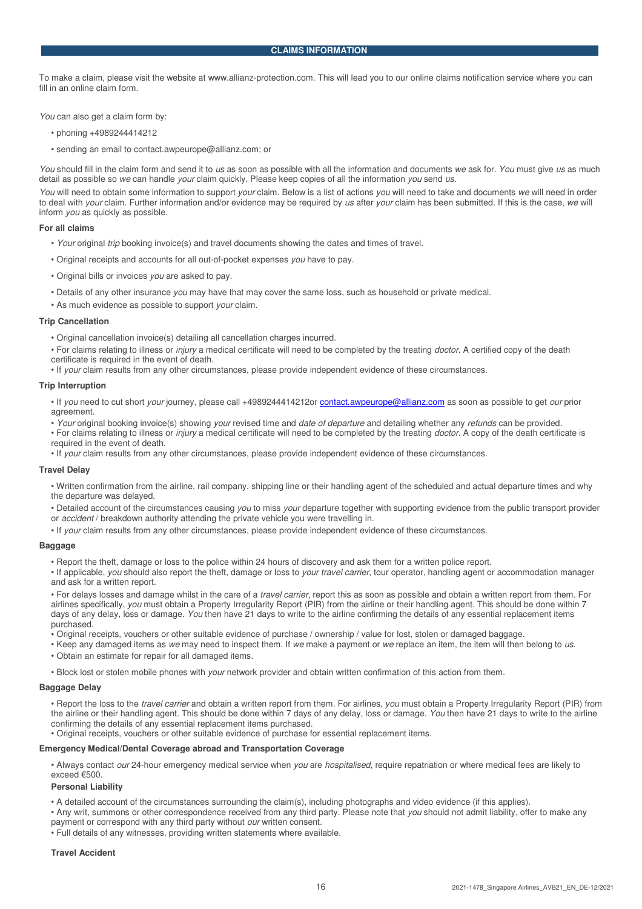To make a claim, please visit the website at www.allianz-protection.com. This will lead you to our online claims notification service where you can fill in an online claim form.

You can also get a claim form by:

- phoning +4989244414212
- sending an email to contact.awpeurope@allianz.com; or

You should fill in the claim form and send it to us as soon as possible with all the information and documents we ask for. You must give us as much detail as possible so we can handle your claim quickly. Please keep copies of all the information you send us.

You will need to obtain some information to support your claim. Below is a list of actions you will need to take and documents we will need in order to deal with your claim. Further information and/or evidence may be required by us after your claim has been submitted. If this is the case, we will inform you as quickly as possible.

#### **For all claims**

- Your original trip booking invoice(s) and travel documents showing the dates and times of travel.
- Original receipts and accounts for all out-of-pocket expenses you have to pay.
- Original bills or invoices you are asked to pay.
- Details of any other insurance you may have that may cover the same loss, such as household or private medical.
- As much evidence as possible to support your claim.

#### **Trip Cancellation**

- Original cancellation invoice(s) detailing all cancellation charges incurred.
- For claims relating to illness or injury a medical certificate will need to be completed by the treating doctor. A certified copy of the death
- certificate is required in the event of death.
- If your claim results from any other circumstances, please provide independent evidence of these circumstances.

#### **Trip Interruption**

• If you need to cut short your journey, please call +4989244414212or contact.awpeurope@allianz.com as soon as possible to get our prior agreement

• Your original booking invoice(s) showing your revised time and date of departure and detailing whether any refunds can be provided.

• For claims relating to illness or *injury* a medical certificate will need to be completed by the treating *doctor*. A copy of the death certificate is required in the event of death.

• If your claim results from any other circumstances, please provide independent evidence of these circumstances.

#### **Travel Delay**

• Written confirmation from the airline, rail company, shipping line or their handling agent of the scheduled and actual departure times and why the departure was delayed.

• Detailed account of the circumstances causing you to miss your departure together with supporting evidence from the public transport provider or *accident* / breakdown authority attending the private vehicle you were travelling in.

• If your claim results from any other circumstances, please provide independent evidence of these circumstances.

#### **Baggage**

• Report the theft, damage or loss to the police within 24 hours of discovery and ask them for a written police report.

• If applicable, you should also report the theft, damage or loss to your travel carrier, tour operator, handling agent or accommodation manager and ask for a written report.

• For delays losses and damage whilst in the care of a *travel carrier*, report this as soon as possible and obtain a written report from them. For airlines specifically, you must obtain a Property Irregularity Report (PIR) from the airline or their handling agent. This should be done within 7 days of any delay, loss or damage. You then have 21 days to write to the airline confirming the details of any essential replacement items purchased.

**•** Original receipts, vouchers or other suitable evidence of purchase / ownership / value for lost, stolen or damaged baggage.

• Keep any damaged items as we may need to inspect them. If we make a payment or we replace an item, the item will then belong to us.

• Obtain an estimate for repair for all damaged items.

• Block lost or stolen mobile phones with your network provider and obtain written confirmation of this action from them.

#### **Baggage Delay**

• Report the loss to the travel carrier and obtain a written report from them. For airlines, you must obtain a Property Irregularity Report (PIR) from the airline or their handling agent. This should be done within 7 days of any delay, loss or damage. You then have 21 days to write to the airline confirming the details of any essential replacement items purchased.

• Original receipts, vouchers or other suitable evidence of purchase for essential replacement items.

#### **Emergency Medical/Dental Coverage abroad and Transportation Coverage**

• Always contact our 24-hour emergency medical service when you are hospitalised, require repatriation or where medical fees are likely to exceed €500.

#### **Personal Liability**

• A detailed account of the circumstances surrounding the claim(s), including photographs and video evidence (if this applies).

• Any writ, summons or other correspondence received from any third party. Please note that you should not admit liability, offer to make any payment or correspond with any third party without *our* written consent.

• Full details of any witnesses, providing written statements where available.

#### **Travel Accident**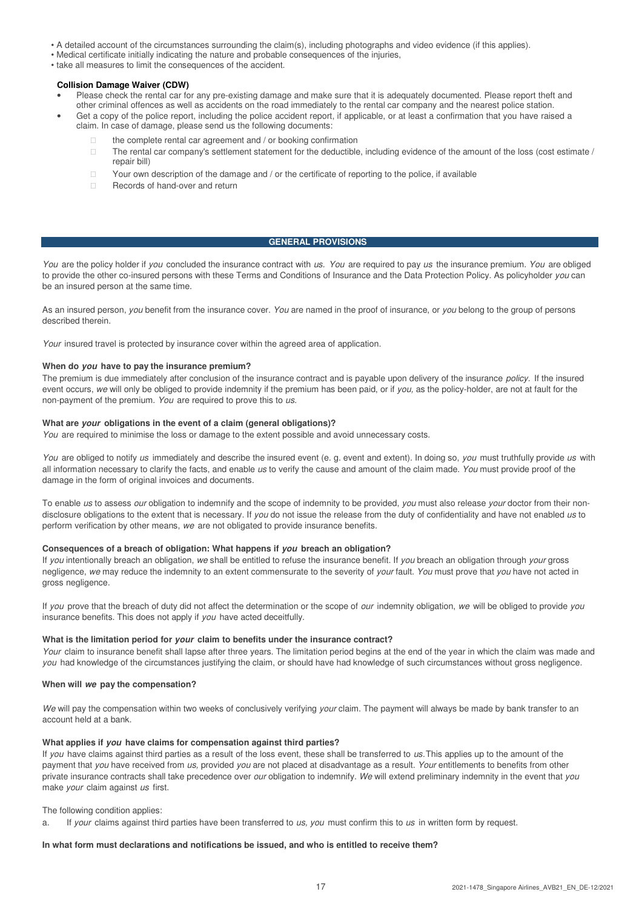- A detailed account of the circumstances surrounding the claim(s), including photographs and video evidence (if this applies).
- Medical certificate initially indicating the nature and probable consequences of the injuries,
- take all measures to limit the consequences of the accident.

#### **Collision Damage Waiver (CDW)**

- Please check the rental car for any pre-existing damage and make sure that it is adequately documented. Please report theft and other criminal offences as well as accidents on the road immediately to the rental car company and the nearest police station.
- Get a copy of the police report, including the police accident report, if applicable, or at least a confirmation that you have raised a claim. In case of damage, please send us the following documents:

 the complete rental car agreement and / or booking confirmation The rental car company's settlement statement for the deductible, including evidence of the amount of the loss (cost estimate / repair bill)

Your own description of the damage and / or the certificate of reporting to the police, if available Records of hand-over and return

## **GENERAL PROVISIONS**

You are the policy holder if you concluded the insurance contract with us. You are required to pay us the insurance premium. You are obliged to provide the other co-insured persons with these Terms and Conditions of Insurance and the Data Protection Policy. As policyholder you can be an insured person at the same time.

As an insured person, you benefit from the insurance cover. You are named in the proof of insurance, or you belong to the group of persons described therein.

Your insured travel is protected by insurance cover within the agreed area of application.

#### **When do you have to pay the insurance premium?**

The premium is due immediately after conclusion of the insurance contract and is payable upon delivery of the insurance policy. If the insured event occurs, we will only be obliged to provide indemnity if the premium has been paid, or if you, as the policy-holder, are not at fault for the non-payment of the premium. You are required to prove this to us.

## **What are your obligations in the event of a claim (general obligations)?**

You are required to minimise the loss or damage to the extent possible and avoid unnecessary costs.

You are obliged to notify us immediately and describe the insured event (e. g. event and extent). In doing so, you must truthfully provide us with all information necessary to clarify the facts, and enable us to verify the cause and amount of the claim made. You must provide proof of the damage in the form of original invoices and documents.

To enable us to assess our obligation to indemnify and the scope of indemnity to be provided, you must also release your doctor from their nondisclosure obligations to the extent that is necessary. If you do not issue the release from the duty of confidentiality and have not enabled us to perform verification by other means, we are not obligated to provide insurance benefits.

# **Consequences of a breach of obligation: What happens if you breach an obligation?**

If you intentionally breach an obligation, we shall be entitled to refuse the insurance benefit. If you breach an obligation through your gross negligence, we may reduce the indemnity to an extent commensurate to the severity of your fault. You must prove that you have not acted in gross negligence.

If you prove that the breach of duty did not affect the determination or the scope of our indemnity obligation, we will be obliged to provide you insurance benefits. This does not apply if you have acted deceitfully.

#### **What is the limitation period for your claim to benefits under the insurance contract?**

Your claim to insurance benefit shall lapse after three years. The limitation period begins at the end of the year in which the claim was made and you had knowledge of the circumstances justifying the claim, or should have had knowledge of such circumstances without gross negligence.

#### **When will we pay the compensation?**

We will pay the compensation within two weeks of conclusively verifying your claim. The payment will always be made by bank transfer to an account held at a bank.

#### **What applies if you have claims for compensation against third parties?**

If you have claims against third parties as a result of the loss event, these shall be transferred to us. This applies up to the amount of the payment that you have received from us, provided you are not placed at disadvantage as a result. Your entitlements to benefits from other private insurance contracts shall take precedence over our obligation to indemnify. We will extend preliminary indemnity in the event that you make your claim against us first.

The following condition applies:

a. If your claims against third parties have been transferred to us, you must confirm this to us in written form by request.

#### **In what form must declarations and notifications be issued, and who is entitled to receive them?**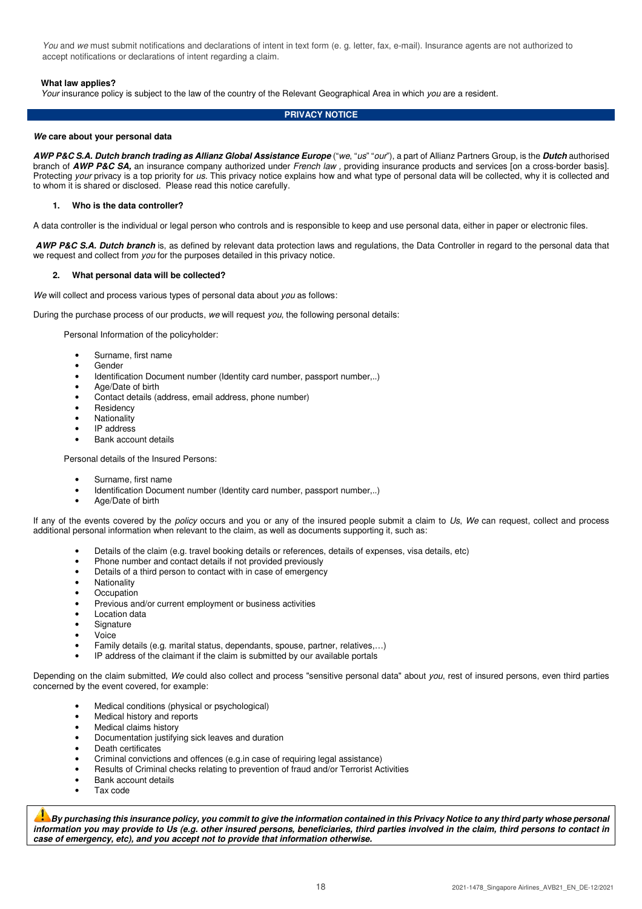You and we must submit notifications and declarations of intent in text form (e. q. letter, fax, e-mail). Insurance agents are not authorized to accept notifications or declarations of intent regarding a claim.

# **What law applies?**

Your insurance policy is subject to the law of the country of the Relevant Geographical Area in which you are a resident.

## **PRIVACY NOTICE**

#### **We care about your personal data**

**AWP P&C S.A. Dutch branch trading as Allianz Global Assistance Europe** ("we, "us" "our"), a part of Allianz Partners Group, is the **Dutch** authorised branch of **AWP P&C SA,** an insurance company authorized under French law , providing insurance products and services [on a cross-border basis]. Protecting your privacy is a top priority for us. This privacy notice explains how and what type of personal data will be collected, why it is collected and to whom it is shared or disclosed. Please read this notice carefully.

#### **1. Who is the data controller?**

A data controller is the individual or legal person who controls and is responsible to keep and use personal data, either in paper or electronic files.

**AWP P&C S.A. Dutch branch** is, as defined by relevant data protection laws and regulations, the Data Controller in regard to the personal data that we request and collect from *you* for the purposes detailed in this privacy notice.

#### **2. What personal data will be collected?**

We will collect and process various types of personal data about you as follows:

During the purchase process of our products, we will request you, the following personal details:

Personal Information of the policyholder:

- Surname, first name
- **Gender**
- Identification Document number (Identity card number, passport number,..)
- Age/Date of birth
- Contact details (address, email address, phone number)
- **Residency**
- **Nationality**
- IP address
- Bank account details

Personal details of the Insured Persons:

- Surname, first name
- Identification Document number (Identity card number, passport number,..)
- Age/Date of birth

If any of the events covered by the policy occurs and you or any of the insured people submit a claim to Us, We can request, collect and process additional personal information when relevant to the claim, as well as documents supporting it, such as:

- Details of the claim (e.g. travel booking details or references, details of expenses, visa details, etc)
- Phone number and contact details if not provided previously
- Details of a third person to contact with in case of emergency
- **Nationality**
- **Occupation**
- Previous and/or current employment or business activities
- Location data
- **Signature**
- Voice
- Family details (e.g. marital status, dependants, spouse, partner, relatives,…)
- IP address of the claimant if the claim is submitted by our available portals

Depending on the claim submitted, We could also collect and process "sensitive personal data" about you, rest of insured persons, even third parties concerned by the event covered, for example:

- Medical conditions (physical or psychological)
- Medical history and reports
- Medical claims history
- Documentation justifying sick leaves and duration
- Death certificates
- Criminal convictions and offences (e.g.in case of requiring legal assistance)
- Results of Criminal checks relating to prevention of fraud and/or Terrorist Activities
- Bank account details
- Tax code

**By purchasing this insurance policy, you commit to give the information contained in this Privacy Notice to any third party whose personal information you may provide to Us (e.g. other insured persons, beneficiaries, third parties involved in the claim, third persons to contact in case of emergency, etc), and you accept not to provide that information otherwise.**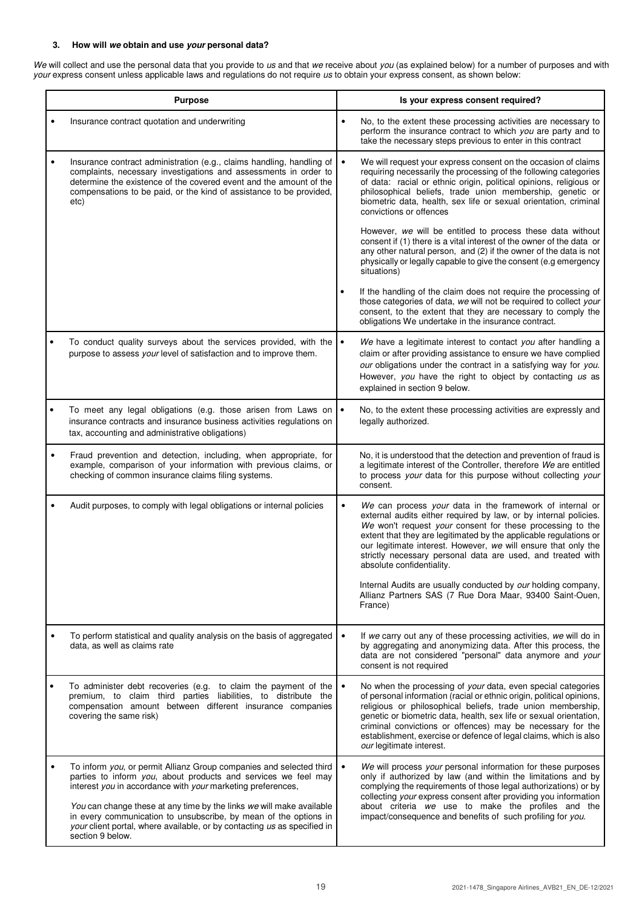# **3. How will we obtain and use your personal data?**

We will collect and use the personal data that you provide to us and that we receive about you (as explained below) for a number of purposes and with your express consent unless applicable laws and regulations do not require us to obtain your express consent, as shown below:

| <b>Purpose</b> |                                                                                                                                                                                                                                                                                                                                                                                                                                                  |           | Is your express consent required?                                                                                                                                                                                                                                                                                                                                                                                                         |
|----------------|--------------------------------------------------------------------------------------------------------------------------------------------------------------------------------------------------------------------------------------------------------------------------------------------------------------------------------------------------------------------------------------------------------------------------------------------------|-----------|-------------------------------------------------------------------------------------------------------------------------------------------------------------------------------------------------------------------------------------------------------------------------------------------------------------------------------------------------------------------------------------------------------------------------------------------|
|                | Insurance contract quotation and underwriting                                                                                                                                                                                                                                                                                                                                                                                                    | $\bullet$ | No, to the extent these processing activities are necessary to<br>perform the insurance contract to which you are party and to<br>take the necessary steps previous to enter in this contract                                                                                                                                                                                                                                             |
|                | Insurance contract administration (e.g., claims handling, handling of<br>complaints, necessary investigations and assessments in order to<br>determine the existence of the covered event and the amount of the<br>compensations to be paid, or the kind of assistance to be provided,<br>etc)                                                                                                                                                   | $\bullet$ | We will request your express consent on the occasion of claims<br>requiring necessarily the processing of the following categories<br>of data: racial or ethnic origin, political opinions, religious or<br>philosophical beliefs, trade union membership, genetic or<br>biometric data, health, sex life or sexual orientation, criminal<br>convictions or offences                                                                      |
|                |                                                                                                                                                                                                                                                                                                                                                                                                                                                  |           | However, we will be entitled to process these data without<br>consent if (1) there is a vital interest of the owner of the data or<br>any other natural person, and (2) if the owner of the data is not<br>physically or legally capable to give the consent (e.g emergency<br>situations)                                                                                                                                                |
|                |                                                                                                                                                                                                                                                                                                                                                                                                                                                  |           | If the handling of the claim does not require the processing of<br>those categories of data, we will not be required to collect your<br>consent, to the extent that they are necessary to comply the<br>obligations We undertake in the insurance contract.                                                                                                                                                                               |
|                | To conduct quality surveys about the services provided, with the $\cdot$<br>purpose to assess your level of satisfaction and to improve them.                                                                                                                                                                                                                                                                                                    |           | We have a legitimate interest to contact you after handling a<br>claim or after providing assistance to ensure we have complied<br>our obligations under the contract in a satisfying way for you.<br>However, you have the right to object by contacting us as<br>explained in section 9 below.                                                                                                                                          |
|                | To meet any legal obligations (e.g. those arisen from Laws on<br>insurance contracts and insurance business activities regulations on<br>tax, accounting and administrative obligations)                                                                                                                                                                                                                                                         |           | No, to the extent these processing activities are expressly and<br>legally authorized.                                                                                                                                                                                                                                                                                                                                                    |
|                | Fraud prevention and detection, including, when appropriate, for<br>example, comparison of your information with previous claims, or<br>checking of common insurance claims filing systems.                                                                                                                                                                                                                                                      |           | No, it is understood that the detection and prevention of fraud is<br>a legitimate interest of the Controller, therefore We are entitled<br>to process your data for this purpose without collecting your<br>consent.                                                                                                                                                                                                                     |
|                | Audit purposes, to comply with legal obligations or internal policies                                                                                                                                                                                                                                                                                                                                                                            |           | We can process your data in the framework of internal or<br>external audits either required by law, or by internal policies.<br>We won't request your consent for these processing to the<br>extent that they are legitimated by the applicable regulations or<br>our legitimate interest. However, we will ensure that only the<br>strictly necessary personal data are used, and treated with<br>absolute confidentiality.              |
|                |                                                                                                                                                                                                                                                                                                                                                                                                                                                  |           | Internal Audits are usually conducted by our holding company,<br>Allianz Partners SAS (7 Rue Dora Maar, 93400 Saint-Ouen,<br>France)                                                                                                                                                                                                                                                                                                      |
|                | To perform statistical and quality analysis on the basis of aggregated<br>data, as well as claims rate                                                                                                                                                                                                                                                                                                                                           |           | If we carry out any of these processing activities, we will do in<br>by aggregating and anonymizing data. After this process, the<br>data are not considered "personal" data anymore and your<br>consent is not required                                                                                                                                                                                                                  |
|                | To administer debt recoveries (e.g. to claim the payment of the<br>premium, to claim third parties liabilities, to distribute the<br>compensation amount between different insurance companies<br>covering the same risk)                                                                                                                                                                                                                        | $\bullet$ | No when the processing of your data, even special categories<br>of personal information (racial or ethnic origin, political opinions,<br>religious or philosophical beliefs, trade union membership,<br>genetic or biometric data, health, sex life or sexual orientation,<br>criminal convictions or offences) may be necessary for the<br>establishment, exercise or defence of legal claims, which is also<br>our legitimate interest. |
|                | To inform you, or permit Allianz Group companies and selected third<br>parties to inform you, about products and services we feel may<br>interest you in accordance with your marketing preferences,<br>You can change these at any time by the links we will make available<br>in every communication to unsubscribe, by mean of the options in<br>your client portal, where available, or by contacting us as specified in<br>section 9 below. | $\bullet$ | We will process your personal information for these purposes<br>only if authorized by law (and within the limitations and by<br>complying the requirements of those legal authorizations) or by<br>collecting your express consent after providing you information<br>about criteria we use to make the profiles and the<br>impact/consequence and benefits of such profiling for you.                                                    |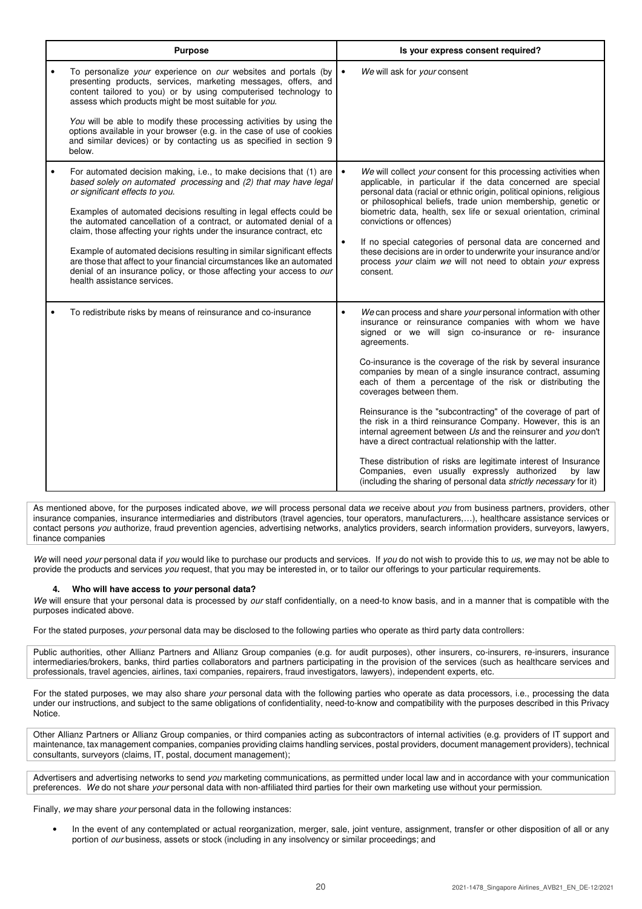| <b>Purpose</b>                                                                                                                                                                                                                                                                                                                                                                                                                                                                                                                                                                                                                                                           | Is your express consent required?                                                                                                                                                                                                                                                                                                                                                                                                                                                                                                                                                                                                                                                                                                                                                                                                                                                                  |
|--------------------------------------------------------------------------------------------------------------------------------------------------------------------------------------------------------------------------------------------------------------------------------------------------------------------------------------------------------------------------------------------------------------------------------------------------------------------------------------------------------------------------------------------------------------------------------------------------------------------------------------------------------------------------|----------------------------------------------------------------------------------------------------------------------------------------------------------------------------------------------------------------------------------------------------------------------------------------------------------------------------------------------------------------------------------------------------------------------------------------------------------------------------------------------------------------------------------------------------------------------------------------------------------------------------------------------------------------------------------------------------------------------------------------------------------------------------------------------------------------------------------------------------------------------------------------------------|
| To personalize your experience on our websites and portals (by<br>presenting products, services, marketing messages, offers, and<br>content tailored to you) or by using computerised technology to<br>assess which products might be most suitable for you.                                                                                                                                                                                                                                                                                                                                                                                                             | We will ask for your consent<br>$\bullet$                                                                                                                                                                                                                                                                                                                                                                                                                                                                                                                                                                                                                                                                                                                                                                                                                                                          |
| You will be able to modify these processing activities by using the<br>options available in your browser (e.g. in the case of use of cookies<br>and similar devices) or by contacting us as specified in section 9<br>below.                                                                                                                                                                                                                                                                                                                                                                                                                                             |                                                                                                                                                                                                                                                                                                                                                                                                                                                                                                                                                                                                                                                                                                                                                                                                                                                                                                    |
| For automated decision making, i.e., to make decisions that (1) are<br>$\bullet$<br>based solely on automated processing and (2) that may have legal<br>or significant effects to you.<br>Examples of automated decisions resulting in legal effects could be<br>the automated cancellation of a contract, or automated denial of a<br>claim, those affecting your rights under the insurance contract, etc<br>Example of automated decisions resulting in similar significant effects<br>are those that affect to your financial circumstances like an automated<br>denial of an insurance policy, or those affecting your access to our<br>health assistance services. | We will collect your consent for this processing activities when<br>$\bullet$<br>applicable, in particular if the data concerned are special<br>personal data (racial or ethnic origin, political opinions, religious<br>or philosophical beliefs, trade union membership, genetic or<br>biometric data, health, sex life or sexual orientation, criminal<br>convictions or offences)<br>If no special categories of personal data are concerned and<br>$\bullet$<br>these decisions are in order to underwrite your insurance and/or<br>process your claim we will not need to obtain your express<br>consent.                                                                                                                                                                                                                                                                                    |
| To redistribute risks by means of reinsurance and co-insurance                                                                                                                                                                                                                                                                                                                                                                                                                                                                                                                                                                                                           | We can process and share your personal information with other<br>$\bullet$<br>insurance or reinsurance companies with whom we have<br>signed or we will sign co-insurance or re- insurance<br>agreements.<br>Co-insurance is the coverage of the risk by several insurance<br>companies by mean of a single insurance contract, assuming<br>each of them a percentage of the risk or distributing the<br>coverages between them.<br>Reinsurance is the "subcontracting" of the coverage of part of<br>the risk in a third reinsurance Company. However, this is an<br>internal agreement between Us and the reinsurer and you don't<br>have a direct contractual relationship with the latter.<br>These distribution of risks are legitimate interest of Insurance<br>Companies, even usually expressly authorized<br>by law<br>(including the sharing of personal data strictly necessary for it) |

As mentioned above, for the purposes indicated above, we will process personal data we receive about you from business partners, providers, other insurance companies, insurance intermediaries and distributors (travel agencies, tour operators, manufacturers,…), healthcare assistance services or contact persons you authorize, fraud prevention agencies, advertising networks, analytics providers, search information providers, surveyors, lawyers, finance companies

We will need your personal data if you would like to purchase our products and services. If you do not wish to provide this to us, we may not be able to provide the products and services you request, that you may be interested in, or to tailor our offerings to your particular requirements.

# **4. Who will have access to your personal data?**

We will ensure that your personal data is processed by our staff confidentially, on a need-to know basis, and in a manner that is compatible with the purposes indicated above.

For the stated purposes, your personal data may be disclosed to the following parties who operate as third party data controllers:

Public authorities, other Allianz Partners and Allianz Group companies (e.g. for audit purposes), other insurers, co-insurers, re-insurers, insurance intermediaries/brokers, banks, third parties collaborators and partners participating in the provision of the services (such as healthcare services and professionals, travel agencies, airlines, taxi companies, repairers, fraud investigators, lawyers), independent experts, etc.

For the stated purposes, we may also share your personal data with the following parties who operate as data processors, i.e., processing the data under our instructions, and subject to the same obligations of confidentiality, need-to-know and compatibility with the purposes described in this Privacy Notice.

Other Allianz Partners or Allianz Group companies, or third companies acting as subcontractors of internal activities (e.g. providers of IT support and maintenance, tax management companies, companies providing claims handling services, postal providers, document management providers), technical consultants, surveyors (claims, IT, postal, document management);

Advertisers and advertising networks to send you marketing communications, as permitted under local law and in accordance with your communication preferences. We do not share your personal data with non-affiliated third parties for their own marketing use without your permission.

Finally, we may share your personal data in the following instances:

• In the event of any contemplated or actual reorganization, merger, sale, joint venture, assignment, transfer or other disposition of all or any portion of our business, assets or stock (including in any insolvency or similar proceedings; and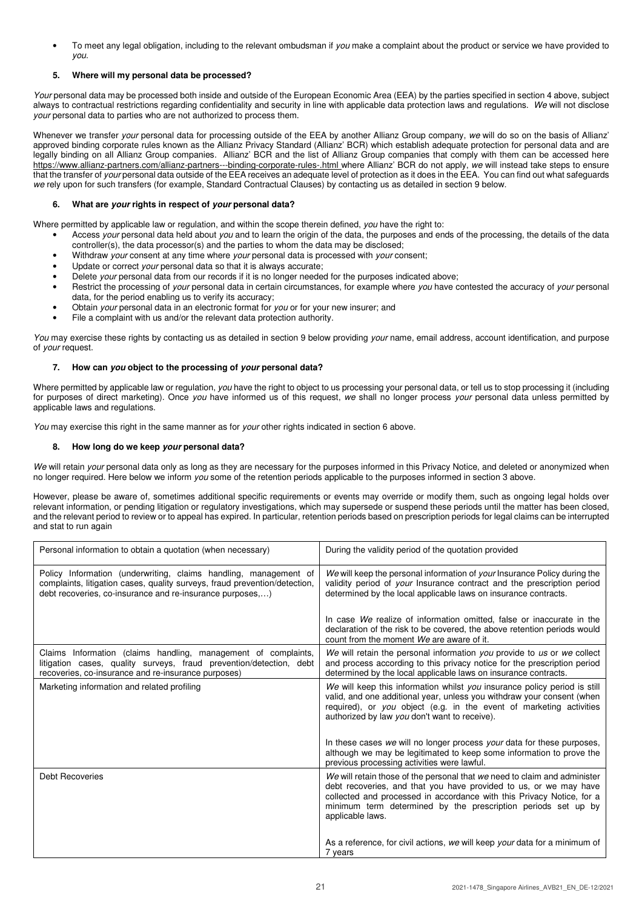To meet any legal obligation, including to the relevant ombudsman if you make a complaint about the product or service we have provided to you.

# **5. Where will my personal data be processed?**

Your personal data may be processed both inside and outside of the European Economic Area (EEA) by the parties specified in section 4 above, subject always to contractual restrictions regarding confidentiality and security in line with applicable data protection laws and regulations. We will not disclose your personal data to parties who are not authorized to process them.

Whenever we transfer your personal data for processing outside of the EEA by another Allianz Group company, we will do so on the basis of Allianz' approved binding corporate rules known as the Allianz Privacy Standard (Allianz' BCR) which establish adequate protection for personal data and are legally binding on all Allianz Group companies. Allianz' BCR and the list of Allianz Group companies that comply with them can be accessed here https://www.allianz-partners.com/allianz-partners---binding-corporate-rules-.html where Allianz' BCR do not apply, we will instead take steps to ensure that the transfer of your personal data outside of the EEA receives an adequate level of protection as it does in the EEA. You can find out what safeguards we rely upon for such transfers (for example, Standard Contractual Clauses) by contacting us as detailed in section 9 below.

# **6. What are your rights in respect of your personal data?**

Where permitted by applicable law or regulation, and within the scope therein defined, you have the right to:

- Access your personal data held about you and to learn the origin of the data, the purposes and ends of the processing, the details of the data controller(s), the data processor(s) and the parties to whom the data may be disclosed;
	- Withdraw your consent at any time where your personal data is processed with your consent;
- Update or correct your personal data so that it is always accurate;
- Delete your personal data from our records if it is no longer needed for the purposes indicated above;
- Restrict the processing of your personal data in certain circumstances, for example where you have contested the accuracy of your personal data, for the period enabling us to verify its accuracy;
- Obtain your personal data in an electronic format for you or for your new insurer; and
- File a complaint with us and/or the relevant data protection authority.

You may exercise these rights by contacting us as detailed in section 9 below providing your name, email address, account identification, and purpose of your request.

# **7. How can you object to the processing of your personal data?**

Where permitted by applicable law or regulation, you have the right to object to us processing your personal data, or tell us to stop processing it (including for purposes of direct marketing). Once you have informed us of this request, we shall no longer process your personal data unless permitted by applicable laws and regulations.

You may exercise this right in the same manner as for your other rights indicated in section 6 above.

## **8. How long do we keep your personal data?**

We will retain your personal data only as long as they are necessary for the purposes informed in this Privacy Notice, and deleted or anonymized when no longer required. Here below we inform you some of the retention periods applicable to the purposes informed in section 3 above.

However, please be aware of, sometimes additional specific requirements or events may override or modify them, such as ongoing legal holds over relevant information, or pending litigation or regulatory investigations, which may supersede or suspend these periods until the matter has been closed, and the relevant period to review or to appeal has expired. In particular, retention periods based on prescription periods for legal claims can be interrupted and stat to run again

| Personal information to obtain a quotation (when necessary)                                                                                                                                                | During the validity period of the quotation provided                                                                                                                                                                                                                                                         |
|------------------------------------------------------------------------------------------------------------------------------------------------------------------------------------------------------------|--------------------------------------------------------------------------------------------------------------------------------------------------------------------------------------------------------------------------------------------------------------------------------------------------------------|
| Policy Information (underwriting, claims handling, management of<br>complaints, litigation cases, quality surveys, fraud prevention/detection,<br>debt recoveries, co-insurance and re-insurance purposes) | We will keep the personal information of your Insurance Policy during the<br>validity period of your Insurance contract and the prescription period<br>determined by the local applicable laws on insurance contracts.                                                                                       |
|                                                                                                                                                                                                            | In case We realize of information omitted, false or inaccurate in the<br>declaration of the risk to be covered, the above retention periods would<br>count from the moment We are aware of it.                                                                                                               |
| Claims Information (claims handling, management of complaints,<br>litigation cases, quality surveys, fraud prevention/detection, debt<br>recoveries, co-insurance and re-insurance purposes)               | We will retain the personal information you provide to us or we collect<br>and process according to this privacy notice for the prescription period<br>determined by the local applicable laws on insurance contracts.                                                                                       |
| Marketing information and related profiling                                                                                                                                                                | We will keep this information whilst you insurance policy period is still<br>valid, and one additional year, unless you withdraw your consent (when<br>required), or you object (e.g. in the event of marketing activities<br>authorized by law you don't want to receive).                                  |
|                                                                                                                                                                                                            | In these cases we will no longer process your data for these purposes,<br>although we may be legitimated to keep some information to prove the<br>previous processing activities were lawful.                                                                                                                |
| <b>Debt Recoveries</b>                                                                                                                                                                                     | We will retain those of the personal that we need to claim and administer<br>debt recoveries, and that you have provided to us, or we may have<br>collected and processed in accordance with this Privacy Notice, for a<br>minimum term determined by the prescription periods set up by<br>applicable laws. |
|                                                                                                                                                                                                            | As a reference, for civil actions, we will keep your data for a minimum of<br>7 years                                                                                                                                                                                                                        |